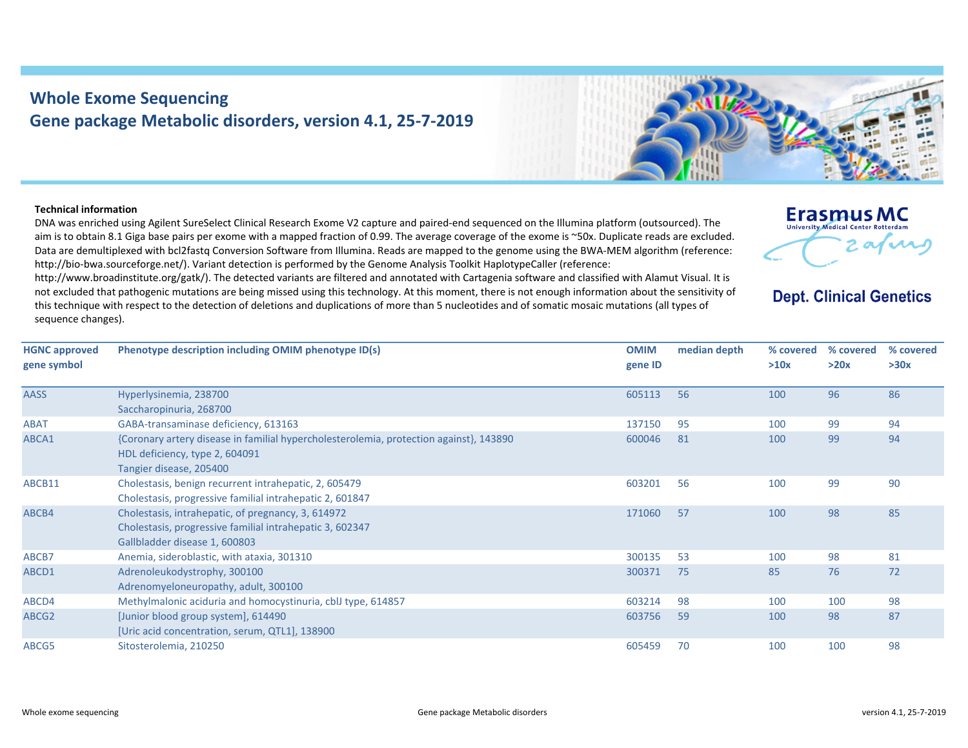## **Whole Exome Sequencing Gene package Metabolic disorders, version 4.1, 25‐7‐2019**

## **Technical information**

DNA was enriched using Agilent SureSelect Clinical Research Exome V2 capture and paired‐end sequenced on the Illumina platform (outsourced). The aim is to obtain 8.1 Giga base pairs per exome with <sup>a</sup> mapped fraction of 0.99. The average coverage of the exome is ~50x. Duplicate reads are excluded. Data are demultiplexed with bcl2fastq Conversion Software from Illumina. Reads are mapped to the genome using the BWA‐MEM algorithm (reference: http://bio-bwa.sourceforge.net/). Variant detection is performed by the Genome Analysis Toolkit HaplotypeCaller (reference:

http://www.broadinstitute.org/gatk/). The detected variants are filtered and annotated with Cartagenia software and classified with Alamut Visual. It is not excluded that pathogenic mutations are being missed using this technology. At this moment, there is not enough information about the sensitivity of this technique with respect to the detection of deletions and duplications of more than 5 nucleotides and of somatic mosaic mutations (all types of sequence changes).



## **Dept. Clinical Genetics**

| <b>HGNC approved</b><br>gene symbol | Phenotype description including OMIM phenotype ID(s)                                                                                                | <b>OMIM</b><br>gene ID | median depth | % covered<br>>10x | % covered<br>>20x | % covered<br>>30x |
|-------------------------------------|-----------------------------------------------------------------------------------------------------------------------------------------------------|------------------------|--------------|-------------------|-------------------|-------------------|
| <b>AASS</b>                         | Hyperlysinemia, 238700                                                                                                                              | 605113                 | 56           | 100               | 96                | 86                |
|                                     | Saccharopinuria, 268700                                                                                                                             |                        |              |                   |                   |                   |
| <b>ABAT</b>                         | GABA-transaminase deficiency, 613163                                                                                                                | 137150                 | 95           | 100               | 99                | 94                |
| ABCA1                               | {Coronary artery disease in familial hypercholesterolemia, protection against}, 143890<br>HDL deficiency, type 2, 604091<br>Tangier disease, 205400 | 600046                 | 81           | 100               | 99                | 94                |
| ABCB11                              | Cholestasis, benign recurrent intrahepatic, 2, 605479<br>Cholestasis, progressive familial intrahepatic 2, 601847                                   | 603201                 | 56           | 100               | 99                | 90                |
| ABCB4                               | Cholestasis, intrahepatic, of pregnancy, 3, 614972<br>Cholestasis, progressive familial intrahepatic 3, 602347<br>Gallbladder disease 1, 600803     | 171060                 | 57           | 100               | 98                | 85                |
| ABCB7                               | Anemia, sideroblastic, with ataxia, 301310                                                                                                          | 300135                 | 53           | 100               | 98                | 81                |
| ABCD1                               | Adrenoleukodystrophy, 300100<br>Adrenomyeloneuropathy, adult, 300100                                                                                | 300371                 | 75           | 85                | 76                | 72                |
| ABCD4                               | Methylmalonic aciduria and homocystinuria, cblJ type, 614857                                                                                        | 603214                 | 98           | 100               | 100               | 98                |
| ABCG2                               | [Junior blood group system], 614490<br>[Uric acid concentration, serum, QTL1], 138900                                                               | 603756                 | 59           | 100               | 98                | 87                |
| ABCG5                               | Sitosterolemia, 210250                                                                                                                              | 605459                 | 70           | 100               | 100               | 98                |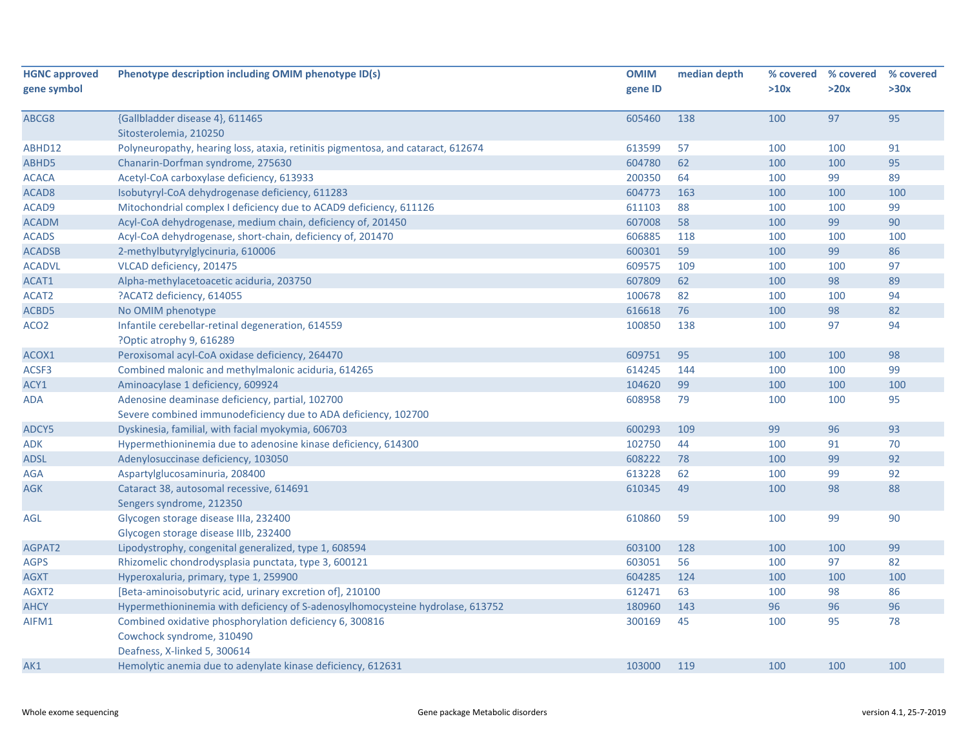| <b>HGNC approved</b> | Phenotype description including OMIM phenotype ID(s)                             | <b>OMIM</b> | median depth |      | % covered % covered | % covered |
|----------------------|----------------------------------------------------------------------------------|-------------|--------------|------|---------------------|-----------|
| gene symbol          |                                                                                  | gene ID     |              | >10x | >20x                | >30x      |
|                      |                                                                                  |             |              |      |                     |           |
| ABCG8                | {Gallbladder disease 4}, 611465                                                  | 605460      | 138          | 100  | 97                  | 95        |
|                      | Sitosterolemia, 210250                                                           |             |              |      |                     |           |
| ABHD12               | Polyneuropathy, hearing loss, ataxia, retinitis pigmentosa, and cataract, 612674 | 613599      | 57           | 100  | 100                 | 91        |
| ABHD5                | Chanarin-Dorfman syndrome, 275630                                                | 604780      | 62           | 100  | 100                 | 95        |
| <b>ACACA</b>         | Acetyl-CoA carboxylase deficiency, 613933                                        | 200350      | 64           | 100  | 99                  | 89        |
| ACAD <sub>8</sub>    | Isobutyryl-CoA dehydrogenase deficiency, 611283                                  | 604773      | 163          | 100  | 100                 | 100       |
| ACAD9                | Mitochondrial complex I deficiency due to ACAD9 deficiency, 611126               | 611103      | 88           | 100  | 100                 | 99        |
| <b>ACADM</b>         | Acyl-CoA dehydrogenase, medium chain, deficiency of, 201450                      | 607008      | 58           | 100  | 99                  | 90        |
| <b>ACADS</b>         | Acyl-CoA dehydrogenase, short-chain, deficiency of, 201470                       | 606885      | 118          | 100  | 100                 | 100       |
| <b>ACADSB</b>        | 2-methylbutyrylglycinuria, 610006                                                | 600301      | 59           | 100  | 99                  | 86        |
| <b>ACADVL</b>        | VLCAD deficiency, 201475                                                         | 609575      | 109          | 100  | 100                 | 97        |
| ACAT1                | Alpha-methylacetoacetic aciduria, 203750                                         | 607809      | 62           | 100  | 98                  | 89        |
| ACAT2                | ?ACAT2 deficiency, 614055                                                        | 100678      | 82           | 100  | 100                 | 94        |
| ACBD5                | No OMIM phenotype                                                                | 616618      | 76           | 100  | 98                  | 82        |
| ACO <sub>2</sub>     | Infantile cerebellar-retinal degeneration, 614559                                | 100850      | 138          | 100  | 97                  | 94        |
|                      | ?Optic atrophy 9, 616289                                                         |             |              |      |                     |           |
| ACOX1                | Peroxisomal acyl-CoA oxidase deficiency, 264470                                  | 609751      | 95           | 100  | 100                 | 98        |
| ACSF3                | Combined malonic and methylmalonic aciduria, 614265                              | 614245      | 144          | 100  | 100                 | 99        |
| ACY1                 | Aminoacylase 1 deficiency, 609924                                                | 104620      | 99           | 100  | 100                 | 100       |
| ADA                  | Adenosine deaminase deficiency, partial, 102700                                  | 608958      | 79           | 100  | 100                 | 95        |
|                      | Severe combined immunodeficiency due to ADA deficiency, 102700                   |             |              |      |                     |           |
| ADCY5                | Dyskinesia, familial, with facial myokymia, 606703                               | 600293      | 109          | 99   | 96                  | 93        |
| ADK                  | Hypermethioninemia due to adenosine kinase deficiency, 614300                    | 102750      | 44           | 100  | 91                  | 70        |
| <b>ADSL</b>          | Adenylosuccinase deficiency, 103050                                              | 608222      | 78           | 100  | 99                  | 92        |
| AGA                  | Aspartylglucosaminuria, 208400                                                   | 613228      | 62           | 100  | 99                  | 92        |
| <b>AGK</b>           | Cataract 38, autosomal recessive, 614691                                         | 610345      | 49           | 100  | 98                  | 88        |
|                      | Sengers syndrome, 212350                                                         |             |              |      |                     |           |
| AGL                  | Glycogen storage disease IIIa, 232400                                            | 610860      | 59           | 100  | 99                  | 90        |
|                      | Glycogen storage disease IIIb, 232400                                            |             |              |      |                     |           |
| AGPAT2               | Lipodystrophy, congenital generalized, type 1, 608594                            | 603100      | 128          | 100  | 100                 | 99        |
| <b>AGPS</b>          | Rhizomelic chondrodysplasia punctata, type 3, 600121                             | 603051      | 56           | 100  | 97                  | 82        |
| <b>AGXT</b>          | Hyperoxaluria, primary, type 1, 259900                                           | 604285      | 124          | 100  | 100                 | 100       |
| AGXT2                | [Beta-aminoisobutyric acid, urinary excretion of], 210100                        | 612471      | 63           | 100  | 98                  | 86        |
| <b>AHCY</b>          | Hypermethioninemia with deficiency of S-adenosylhomocysteine hydrolase, 613752   | 180960      | 143          | 96   | 96                  | 96        |
| AIFM1                | Combined oxidative phosphorylation deficiency 6, 300816                          | 300169      | 45           | 100  | 95                  | 78        |
|                      | Cowchock syndrome, 310490                                                        |             |              |      |                     |           |
|                      | Deafness, X-linked 5, 300614                                                     |             |              |      |                     |           |
|                      | Hemolytic anemia due to adenylate kinase deficiency, 612631                      | 103000      | 119          | 100  | 100                 | 100       |
| AK1                  |                                                                                  |             |              |      |                     |           |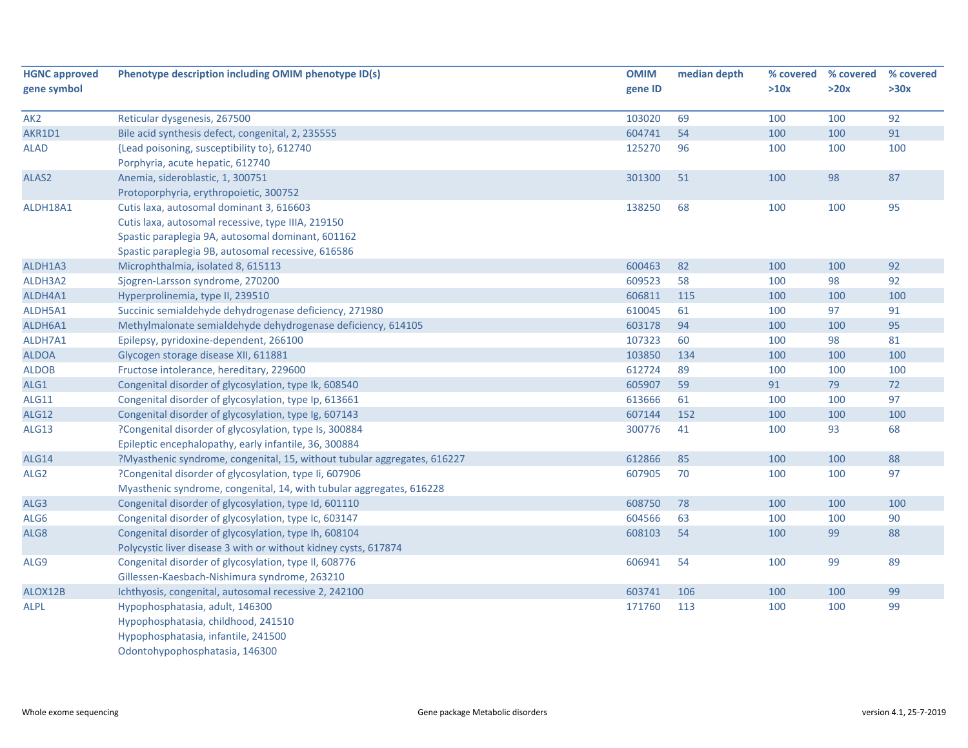| <b>HGNC approved</b> | Phenotype description including OMIM phenotype ID(s)                     | <b>OMIM</b> | median depth | % covered | % covered | % covered |
|----------------------|--------------------------------------------------------------------------|-------------|--------------|-----------|-----------|-----------|
| gene symbol          |                                                                          | gene ID     |              | >10x      | >20x      | >30x      |
| AK <sub>2</sub>      | Reticular dysgenesis, 267500                                             | 103020      | 69           | 100       | 100       | 92        |
| AKR1D1               | Bile acid synthesis defect, congenital, 2, 235555                        | 604741      | 54           | 100       | 100       | 91        |
| <b>ALAD</b>          | {Lead poisoning, susceptibility to}, 612740                              | 125270      | 96           | 100       | 100       | 100       |
|                      | Porphyria, acute hepatic, 612740                                         |             |              |           |           |           |
| ALAS2                | Anemia, sideroblastic, 1, 300751                                         | 301300      | 51           | 100       | 98        | 87        |
|                      | Protoporphyria, erythropoietic, 300752                                   |             |              |           |           |           |
| ALDH18A1             | Cutis laxa, autosomal dominant 3, 616603                                 | 138250      | 68           | 100       | 100       | 95        |
|                      | Cutis laxa, autosomal recessive, type IIIA, 219150                       |             |              |           |           |           |
|                      | Spastic paraplegia 9A, autosomal dominant, 601162                        |             |              |           |           |           |
|                      | Spastic paraplegia 9B, autosomal recessive, 616586                       |             |              |           |           |           |
| ALDH1A3              | Microphthalmia, isolated 8, 615113                                       | 600463      | 82           | 100       | 100       | 92        |
| ALDH3A2              | Sjogren-Larsson syndrome, 270200                                         | 609523      | 58           | 100       | 98        | 92        |
| ALDH4A1              | Hyperprolinemia, type II, 239510                                         | 606811      | 115          | 100       | 100       | 100       |
| ALDH5A1              | Succinic semialdehyde dehydrogenase deficiency, 271980                   | 610045      | 61           | 100       | 97        | 91        |
| ALDH6A1              | Methylmalonate semialdehyde dehydrogenase deficiency, 614105             | 603178      | 94           | 100       | 100       | 95        |
| ALDH7A1              | Epilepsy, pyridoxine-dependent, 266100                                   | 107323      | 60           | 100       | 98        | 81        |
| <b>ALDOA</b>         | Glycogen storage disease XII, 611881                                     | 103850      | 134          | 100       | 100       | 100       |
| <b>ALDOB</b>         | Fructose intolerance, hereditary, 229600                                 | 612724      | 89           | 100       | 100       | 100       |
| ALG1                 | Congenital disorder of glycosylation, type Ik, 608540                    | 605907      | 59           | 91        | 79        | 72        |
| <b>ALG11</b>         | Congenital disorder of glycosylation, type Ip, 613661                    | 613666      | 61           | 100       | 100       | 97        |
| <b>ALG12</b>         | Congenital disorder of glycosylation, type Ig, 607143                    | 607144      | 152          | 100       | 100       | 100       |
| ALG13                | ?Congenital disorder of glycosylation, type Is, 300884                   | 300776      | 41           | 100       | 93        | 68        |
|                      | Epileptic encephalopathy, early infantile, 36, 300884                    |             |              |           |           |           |
| <b>ALG14</b>         | ?Myasthenic syndrome, congenital, 15, without tubular aggregates, 616227 | 612866      | 85           | 100       | 100       | 88        |
| ALG <sub>2</sub>     | ?Congenital disorder of glycosylation, type Ii, 607906                   | 607905      | 70           | 100       | 100       | 97        |
|                      | Myasthenic syndrome, congenital, 14, with tubular aggregates, 616228     |             |              |           |           |           |
| ALG3                 | Congenital disorder of glycosylation, type Id, 601110                    | 608750      | 78           | 100       | 100       | 100       |
| ALG6                 | Congenital disorder of glycosylation, type Ic, 603147                    | 604566      | 63           | 100       | 100       | 90        |
| ALG8                 | Congenital disorder of glycosylation, type Ih, 608104                    | 608103      | 54           | 100       | 99        | 88        |
|                      | Polycystic liver disease 3 with or without kidney cysts, 617874          |             |              |           |           |           |
| ALG9                 | Congenital disorder of glycosylation, type II, 608776                    | 606941      | 54           | 100       | 99        | 89        |
|                      | Gillessen-Kaesbach-Nishimura syndrome, 263210                            |             |              |           |           |           |
| ALOX12B              | Ichthyosis, congenital, autosomal recessive 2, 242100                    | 603741      | 106          | 100       | 100       | 99        |
| <b>ALPL</b>          | Hypophosphatasia, adult, 146300                                          | 171760      | 113          | 100       | 100       | 99        |
|                      | Hypophosphatasia, childhood, 241510                                      |             |              |           |           |           |
|                      | Hypophosphatasia, infantile, 241500                                      |             |              |           |           |           |
|                      | Odontohypophosphatasia, 146300                                           |             |              |           |           |           |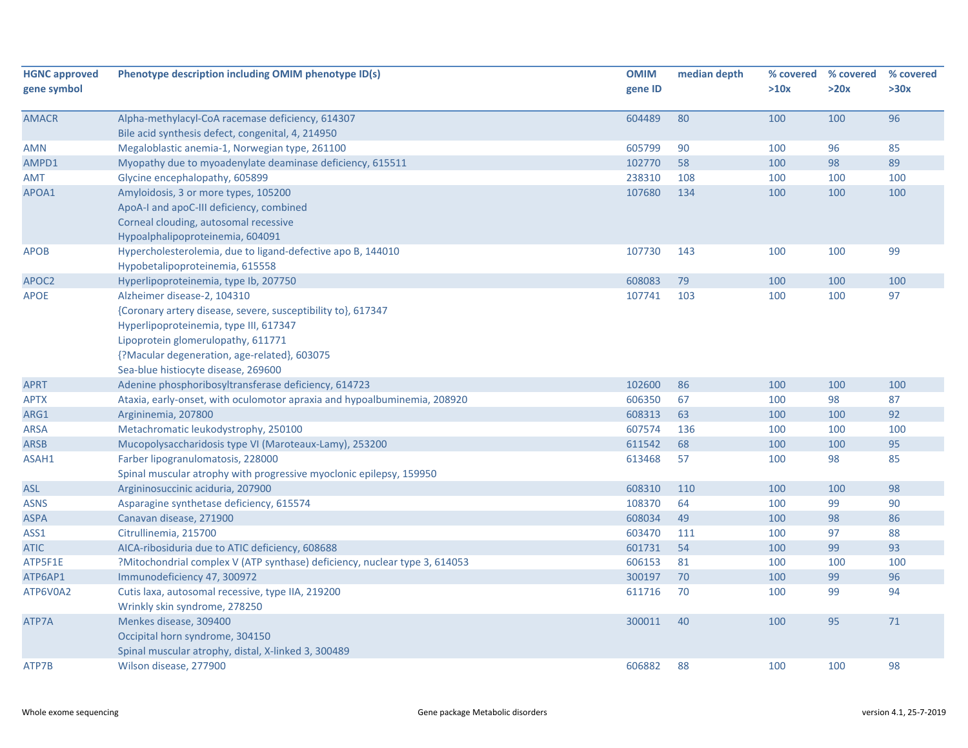| <b>HGNC approved</b><br>gene symbol | Phenotype description including OMIM phenotype ID(s)                       | <b>OMIM</b><br>gene ID | median depth | >10x | % covered % covered<br>>20x | % covered<br>>30x |
|-------------------------------------|----------------------------------------------------------------------------|------------------------|--------------|------|-----------------------------|-------------------|
|                                     |                                                                            |                        |              |      |                             |                   |
| <b>AMACR</b>                        | Alpha-methylacyl-CoA racemase deficiency, 614307                           | 604489                 | 80           | 100  | 100                         | 96                |
|                                     | Bile acid synthesis defect, congenital, 4, 214950                          |                        |              |      |                             |                   |
| AMN                                 | Megaloblastic anemia-1, Norwegian type, 261100                             | 605799                 | 90           | 100  | 96                          | 85                |
| AMPD1                               | Myopathy due to myoadenylate deaminase deficiency, 615511                  | 102770                 | 58           | 100  | 98                          | 89                |
| AMT                                 | Glycine encephalopathy, 605899                                             | 238310                 | 108          | 100  | 100                         | 100               |
| APOA1                               | Amyloidosis, 3 or more types, 105200                                       | 107680                 | 134          | 100  | 100                         | 100               |
|                                     | ApoA-I and apoC-III deficiency, combined                                   |                        |              |      |                             |                   |
|                                     | Corneal clouding, autosomal recessive                                      |                        |              |      |                             |                   |
|                                     | Hypoalphalipoproteinemia, 604091                                           |                        |              |      |                             |                   |
| <b>APOB</b>                         | Hypercholesterolemia, due to ligand-defective apo B, 144010                | 107730                 | 143          | 100  | 100                         | 99                |
|                                     | Hypobetalipoproteinemia, 615558                                            |                        |              |      |                             |                   |
| APOC2                               | Hyperlipoproteinemia, type Ib, 207750                                      | 608083                 | 79           | 100  | 100                         | 100               |
| <b>APOE</b>                         | Alzheimer disease-2, 104310                                                | 107741                 | 103          | 100  | 100                         | 97                |
|                                     | {Coronary artery disease, severe, susceptibility to}, 617347               |                        |              |      |                             |                   |
|                                     | Hyperlipoproteinemia, type III, 617347                                     |                        |              |      |                             |                   |
|                                     | Lipoprotein glomerulopathy, 611771                                         |                        |              |      |                             |                   |
|                                     | {?Macular degeneration, age-related}, 603075                               |                        |              |      |                             |                   |
|                                     | Sea-blue histiocyte disease, 269600                                        |                        |              |      |                             |                   |
| <b>APRT</b>                         | Adenine phosphoribosyltransferase deficiency, 614723                       | 102600                 | 86           | 100  | 100                         | 100               |
| APTX                                | Ataxia, early-onset, with oculomotor apraxia and hypoalbuminemia, 208920   | 606350                 | 67           | 100  | 98                          | 87                |
| ARG1                                | Argininemia, 207800                                                        | 608313                 | 63           | 100  | 100                         | 92                |
| <b>ARSA</b>                         | Metachromatic leukodystrophy, 250100                                       | 607574                 | 136          | 100  | 100                         | 100               |
| <b>ARSB</b>                         | Mucopolysaccharidosis type VI (Maroteaux-Lamy), 253200                     | 611542                 | 68           | 100  | 100                         | 95                |
| ASAH1                               | Farber lipogranulomatosis, 228000                                          | 613468                 | 57           | 100  | 98                          | 85                |
|                                     | Spinal muscular atrophy with progressive myoclonic epilepsy, 159950        |                        |              |      |                             |                   |
| <b>ASL</b>                          | Argininosuccinic aciduria, 207900                                          | 608310                 | 110          | 100  | 100                         | 98                |
| ASNS                                | Asparagine synthetase deficiency, 615574                                   | 108370                 | 64           | 100  | 99                          | 90                |
| <b>ASPA</b>                         | Canavan disease, 271900                                                    | 608034                 | 49           | 100  | 98                          | 86                |
| ASS1                                | Citrullinemia, 215700                                                      | 603470                 | 111          | 100  | 97                          | 88                |
| <b>ATIC</b>                         | AICA-ribosiduria due to ATIC deficiency, 608688                            | 601731                 | 54           | 100  | 99                          | 93                |
| ATP5F1E                             | ?Mitochondrial complex V (ATP synthase) deficiency, nuclear type 3, 614053 | 606153                 | 81           | 100  | 100                         | 100               |
| ATP6AP1                             | Immunodeficiency 47, 300972                                                | 300197                 | 70           | 100  | 99                          | 96                |
| ATP6V0A2                            | Cutis laxa, autosomal recessive, type IIA, 219200                          | 611716                 | 70           | 100  | 99                          | 94                |
|                                     | Wrinkly skin syndrome, 278250                                              |                        |              |      |                             |                   |
| ATP7A                               | Menkes disease, 309400                                                     | 300011                 | 40           | 100  | 95                          | 71                |
|                                     | Occipital horn syndrome, 304150                                            |                        |              |      |                             |                   |
|                                     | Spinal muscular atrophy, distal, X-linked 3, 300489                        |                        |              |      |                             |                   |
| ATP7B                               | Wilson disease, 277900                                                     | 606882                 | 88           | 100  | 100                         | 98                |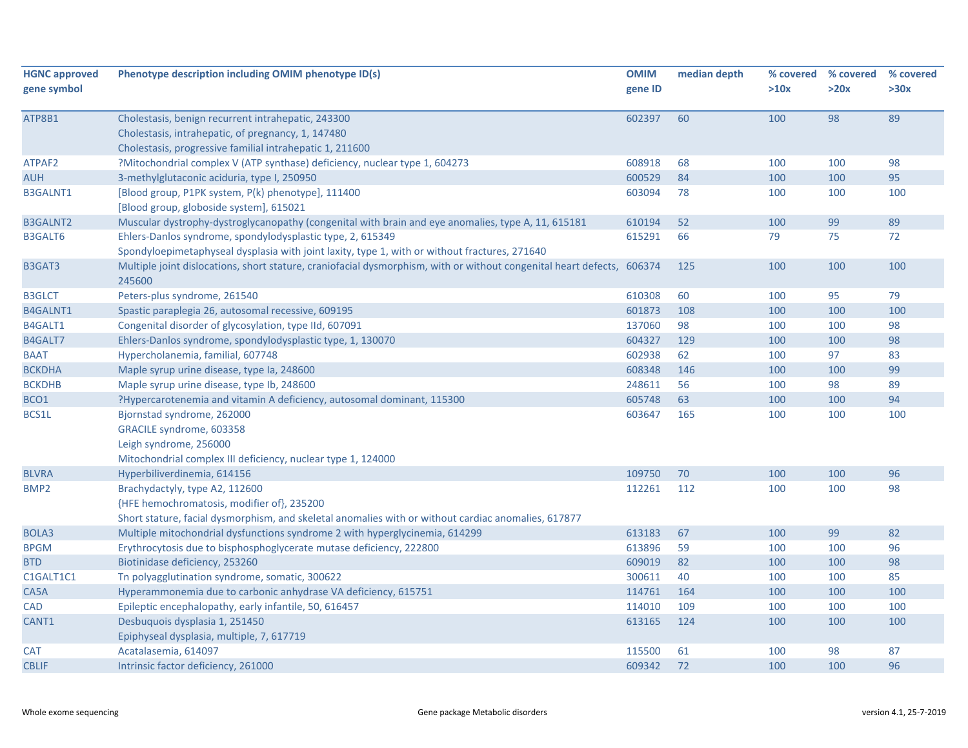| <b>HGNC approved</b> | Phenotype description including OMIM phenotype ID(s)                                                                             | <b>OMIM</b> | median depth | % covered | % covered | % covered |
|----------------------|----------------------------------------------------------------------------------------------------------------------------------|-------------|--------------|-----------|-----------|-----------|
| gene symbol          |                                                                                                                                  | gene ID     |              | >10x      | >20x      | >30x      |
| ATP8B1               | Cholestasis, benign recurrent intrahepatic, 243300                                                                               | 602397      | 60           | 100       | 98        | 89        |
|                      | Cholestasis, intrahepatic, of pregnancy, 1, 147480                                                                               |             |              |           |           |           |
|                      | Cholestasis, progressive familial intrahepatic 1, 211600                                                                         |             |              |           |           |           |
| ATPAF2               | ?Mitochondrial complex V (ATP synthase) deficiency, nuclear type 1, 604273                                                       | 608918      | 68           | 100       | 100       | 98        |
| <b>AUH</b>           | 3-methylglutaconic aciduria, type I, 250950                                                                                      | 600529      | 84           | 100       | 100       | 95        |
| <b>B3GALNT1</b>      | [Blood group, P1PK system, P(k) phenotype], 111400                                                                               | 603094      | 78           | 100       | 100       | 100       |
|                      | [Blood group, globoside system], 615021                                                                                          |             |              |           |           |           |
| <b>B3GALNT2</b>      | Muscular dystrophy-dystroglycanopathy (congenital with brain and eye anomalies, type A, 11, 615181                               | 610194      | 52           | 100       | 99        | 89        |
| <b>B3GALT6</b>       | Ehlers-Danlos syndrome, spondylodysplastic type, 2, 615349                                                                       | 615291      | 66           | 79        | 75        | 72        |
|                      | Spondyloepimetaphyseal dysplasia with joint laxity, type 1, with or without fractures, 271640                                    |             |              |           |           |           |
| B3GAT3               | Multiple joint dislocations, short stature, craniofacial dysmorphism, with or without congenital heart defects, 606374<br>245600 |             | 125          | 100       | 100       | 100       |
| <b>B3GLCT</b>        | Peters-plus syndrome, 261540                                                                                                     | 610308      | 60           | 100       | 95        | 79        |
| B4GALNT1             | Spastic paraplegia 26, autosomal recessive, 609195                                                                               | 601873      | 108          | 100       | 100       | 100       |
| B4GALT1              | Congenital disorder of glycosylation, type IId, 607091                                                                           | 137060      | 98           | 100       | 100       | 98        |
| B4GALT7              | Ehlers-Danlos syndrome, spondylodysplastic type, 1, 130070                                                                       | 604327      | 129          | 100       | 100       | 98        |
| <b>BAAT</b>          | Hypercholanemia, familial, 607748                                                                                                | 602938      | 62           | 100       | 97        | 83        |
| <b>BCKDHA</b>        | Maple syrup urine disease, type Ia, 248600                                                                                       | 608348      | 146          | 100       | 100       | 99        |
| <b>BCKDHB</b>        | Maple syrup urine disease, type lb, 248600                                                                                       | 248611      | 56           | 100       | 98        | 89        |
| BCO1                 | ?Hypercarotenemia and vitamin A deficiency, autosomal dominant, 115300                                                           | 605748      | 63           | 100       | 100       | 94        |
| BCS1L                | Bjornstad syndrome, 262000                                                                                                       | 603647      | 165          | 100       | 100       | 100       |
|                      | GRACILE syndrome, 603358                                                                                                         |             |              |           |           |           |
|                      | Leigh syndrome, 256000                                                                                                           |             |              |           |           |           |
|                      | Mitochondrial complex III deficiency, nuclear type 1, 124000                                                                     |             |              |           |           |           |
| <b>BLVRA</b>         | Hyperbiliverdinemia, 614156                                                                                                      | 109750      | 70           | 100       | 100       | 96        |
| BMP <sub>2</sub>     | Brachydactyly, type A2, 112600                                                                                                   | 112261      | 112          | 100       | 100       | 98        |
|                      | {HFE hemochromatosis, modifier of}, 235200                                                                                       |             |              |           |           |           |
|                      | Short stature, facial dysmorphism, and skeletal anomalies with or without cardiac anomalies, 617877                              |             |              |           |           |           |
| BOLA3                | Multiple mitochondrial dysfunctions syndrome 2 with hyperglycinemia, 614299                                                      | 613183      | 67           | 100       | 99        | 82        |
| <b>BPGM</b>          | Erythrocytosis due to bisphosphoglycerate mutase deficiency, 222800                                                              | 613896      | 59           | 100       | 100       | 96        |
| <b>BTD</b>           | Biotinidase deficiency, 253260                                                                                                   | 609019      | 82           | 100       | 100       | 98        |
| C1GALT1C1            | Tn polyagglutination syndrome, somatic, 300622                                                                                   | 300611      | 40           | 100       | 100       | 85        |
| CA5A                 | Hyperammonemia due to carbonic anhydrase VA deficiency, 615751                                                                   | 114761      | 164          | 100       | 100       | 100       |
| <b>CAD</b>           | Epileptic encephalopathy, early infantile, 50, 616457                                                                            | 114010      | 109          | 100       | 100       | 100       |
| CANT1                | Desbuquois dysplasia 1, 251450                                                                                                   | 613165      | 124          | 100       | 100       | 100       |
|                      | Epiphyseal dysplasia, multiple, 7, 617719                                                                                        |             |              |           |           |           |
| <b>CAT</b>           | Acatalasemia, 614097                                                                                                             | 115500      | 61           | 100       | 98        | 87        |
| <b>CBLIF</b>         | Intrinsic factor deficiency, 261000                                                                                              | 609342      | 72           | 100       | 100       | 96        |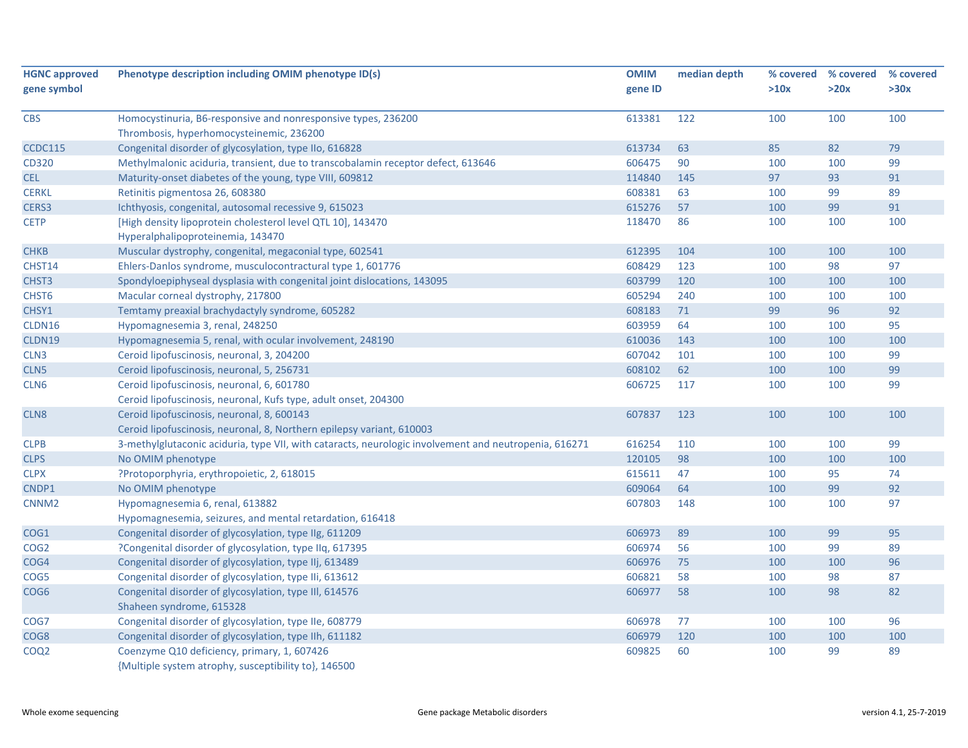| <b>HGNC approved</b> | Phenotype description including OMIM phenotype ID(s)                                                  | <b>OMIM</b> | median depth |      | % covered % covered | % covered |
|----------------------|-------------------------------------------------------------------------------------------------------|-------------|--------------|------|---------------------|-----------|
| gene symbol          |                                                                                                       | gene ID     |              | >10x | >20x                | >30x      |
| <b>CBS</b>           | Homocystinuria, B6-responsive and nonresponsive types, 236200                                         | 613381      | 122          | 100  | 100                 | 100       |
|                      | Thrombosis, hyperhomocysteinemic, 236200                                                              |             |              |      |                     |           |
| <b>CCDC115</b>       | Congenital disorder of glycosylation, type IIo, 616828                                                | 613734      | 63           | 85   | 82                  | 79        |
| CD320                | Methylmalonic aciduria, transient, due to transcobalamin receptor defect, 613646                      | 606475      | 90           | 100  | 100                 | 99        |
| <b>CEL</b>           | Maturity-onset diabetes of the young, type VIII, 609812                                               | 114840      | 145          | 97   | 93                  | 91        |
| <b>CERKL</b>         | Retinitis pigmentosa 26, 608380                                                                       | 608381      | 63           | 100  | 99                  | 89        |
| CERS3                | Ichthyosis, congenital, autosomal recessive 9, 615023                                                 | 615276      | 57           | 100  | 99                  | 91        |
| <b>CETP</b>          | [High density lipoprotein cholesterol level QTL 10], 143470<br>Hyperalphalipoproteinemia, 143470      | 118470      | 86           | 100  | 100                 | 100       |
| <b>CHKB</b>          | Muscular dystrophy, congenital, megaconial type, 602541                                               | 612395      | 104          | 100  | 100                 | 100       |
| CHST14               | Ehlers-Danlos syndrome, musculocontractural type 1, 601776                                            | 608429      | 123          | 100  | 98                  | 97        |
| CHST <sub>3</sub>    | Spondyloepiphyseal dysplasia with congenital joint dislocations, 143095                               | 603799      | 120          | 100  | 100                 | 100       |
| CHST6                | Macular corneal dystrophy, 217800                                                                     | 605294      | 240          | 100  | 100                 | 100       |
| CHSY1                | Temtamy preaxial brachydactyly syndrome, 605282                                                       | 608183      | 71           | 99   | 96                  | 92        |
| CLDN16               | Hypomagnesemia 3, renal, 248250                                                                       | 603959      | 64           | 100  | 100                 | 95        |
| CLDN19               | Hypomagnesemia 5, renal, with ocular involvement, 248190                                              | 610036      | 143          | 100  | 100                 | 100       |
| CLN <sub>3</sub>     | Ceroid lipofuscinosis, neuronal, 3, 204200                                                            | 607042      | 101          | 100  | 100                 | 99        |
| CLN <sub>5</sub>     | Ceroid lipofuscinosis, neuronal, 5, 256731                                                            | 608102      | 62           | 100  | 100                 | 99        |
| CLN <sub>6</sub>     | Ceroid lipofuscinosis, neuronal, 6, 601780                                                            | 606725      | 117          | 100  | 100                 | 99        |
|                      | Ceroid lipofuscinosis, neuronal, Kufs type, adult onset, 204300                                       |             |              |      |                     |           |
| CLN <sub>8</sub>     | Ceroid lipofuscinosis, neuronal, 8, 600143                                                            | 607837      | 123          | 100  | 100                 | 100       |
|                      | Ceroid lipofuscinosis, neuronal, 8, Northern epilepsy variant, 610003                                 |             |              |      |                     |           |
| <b>CLPB</b>          | 3-methylglutaconic aciduria, type VII, with cataracts, neurologic involvement and neutropenia, 616271 | 616254      | 110          | 100  | 100                 | 99        |
| <b>CLPS</b>          | No OMIM phenotype                                                                                     | 120105      | 98           | 100  | 100                 | 100       |
| <b>CLPX</b>          | ?Protoporphyria, erythropoietic, 2, 618015                                                            | 615611      | 47           | 100  | 95                  | 74        |
| CNDP1                | No OMIM phenotype                                                                                     | 609064      | 64           | 100  | 99                  | 92        |
| CNNM <sub>2</sub>    | Hypomagnesemia 6, renal, 613882                                                                       | 607803      | 148          | 100  | 100                 | 97        |
|                      | Hypomagnesemia, seizures, and mental retardation, 616418                                              |             |              |      |                     |           |
| COG1                 | Congenital disorder of glycosylation, type IIg, 611209                                                | 606973      | 89           | 100  | 99                  | 95        |
| COG <sub>2</sub>     | ?Congenital disorder of glycosylation, type IIq, 617395                                               | 606974      | 56           | 100  | 99                  | 89        |
| COG4                 | Congenital disorder of glycosylation, type IIj, 613489                                                | 606976      | 75           | 100  | 100                 | 96        |
| COG5                 | Congenital disorder of glycosylation, type IIi, 613612                                                | 606821      | 58           | 100  | 98                  | 87        |
| COG <sub>6</sub>     | Congenital disorder of glycosylation, type III, 614576                                                | 606977      | 58           | 100  | 98                  | 82        |
|                      | Shaheen syndrome, 615328                                                                              |             |              |      |                     |           |
| COG7                 | Congenital disorder of glycosylation, type IIe, 608779                                                | 606978      | 77           | 100  | 100                 | 96        |
| COG8                 | Congenital disorder of glycosylation, type IIh, 611182                                                | 606979      | 120          | 100  | 100                 | 100       |
| COQ2                 | Coenzyme Q10 deficiency, primary, 1, 607426<br>{Multiple system atrophy, susceptibility to}, 146500   | 609825      | 60           | 100  | 99                  | 89        |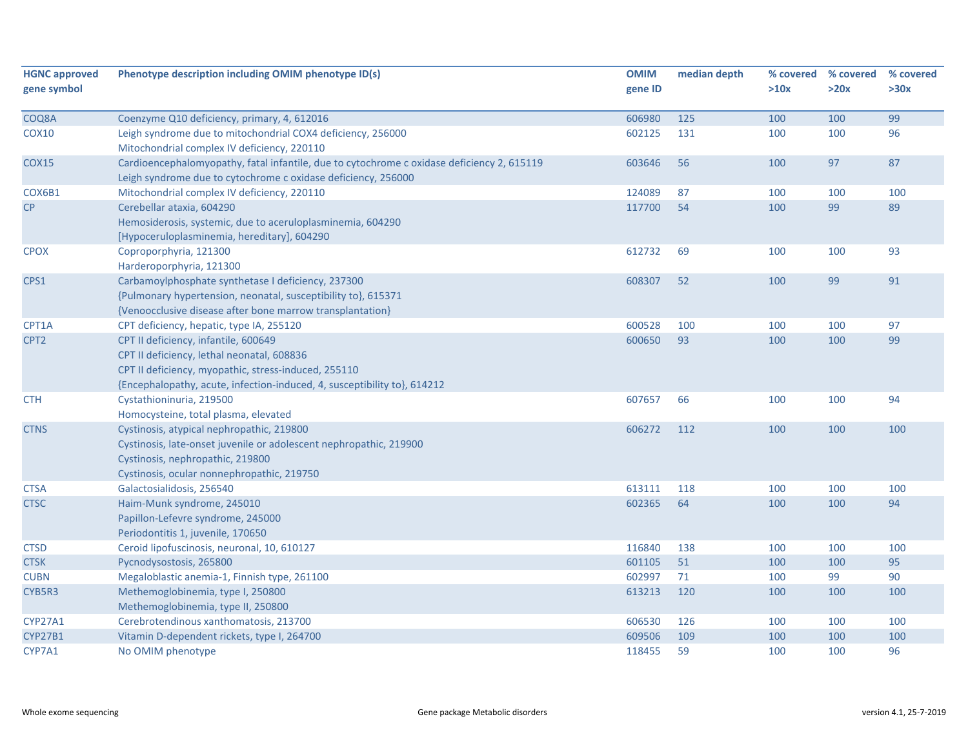| <b>HGNC approved</b><br>gene symbol | Phenotype description including OMIM phenotype ID(s)                                                                                                        | <b>OMIM</b><br>gene ID | median depth | % covered<br>>10x | % covered<br>>20x | % covered<br>>30x |
|-------------------------------------|-------------------------------------------------------------------------------------------------------------------------------------------------------------|------------------------|--------------|-------------------|-------------------|-------------------|
|                                     |                                                                                                                                                             |                        |              |                   |                   |                   |
| COQ8A                               | Coenzyme Q10 deficiency, primary, 4, 612016                                                                                                                 | 606980                 | 125          | 100               | 100               | 99                |
| <b>COX10</b>                        | Leigh syndrome due to mitochondrial COX4 deficiency, 256000                                                                                                 | 602125                 | 131          | 100               | 100               | 96                |
|                                     | Mitochondrial complex IV deficiency, 220110                                                                                                                 |                        |              |                   |                   |                   |
| <b>COX15</b>                        | Cardioencephalomyopathy, fatal infantile, due to cytochrome c oxidase deficiency 2, 615119<br>Leigh syndrome due to cytochrome c oxidase deficiency, 256000 | 603646                 | 56           | 100               | 97                | 87                |
| COX6B1                              | Mitochondrial complex IV deficiency, 220110                                                                                                                 | 124089                 | 87           | 100               | 100               | 100               |
| CP                                  | Cerebellar ataxia, 604290                                                                                                                                   | 117700                 | 54           | 100               | 99                | 89                |
|                                     | Hemosiderosis, systemic, due to aceruloplasminemia, 604290                                                                                                  |                        |              |                   |                   |                   |
|                                     | [Hypoceruloplasminemia, hereditary], 604290                                                                                                                 |                        |              |                   |                   |                   |
| <b>CPOX</b>                         | Coproporphyria, 121300                                                                                                                                      | 612732                 | 69           | 100               | 100               | 93                |
|                                     | Harderoporphyria, 121300                                                                                                                                    |                        |              |                   |                   |                   |
| CPS1                                | Carbamoylphosphate synthetase I deficiency, 237300                                                                                                          | 608307                 | 52           | 100               | 99                | 91                |
|                                     | {Pulmonary hypertension, neonatal, susceptibility to}, 615371                                                                                               |                        |              |                   |                   |                   |
|                                     | {Venoocclusive disease after bone marrow transplantation}                                                                                                   |                        |              |                   |                   |                   |
| CPT1A                               | CPT deficiency, hepatic, type IA, 255120                                                                                                                    | 600528                 | 100          | 100               | 100               | 97                |
| CPT <sub>2</sub>                    | CPT II deficiency, infantile, 600649                                                                                                                        | 600650                 | 93           | 100               | 100               | 99                |
|                                     | CPT II deficiency, lethal neonatal, 608836                                                                                                                  |                        |              |                   |                   |                   |
|                                     | CPT II deficiency, myopathic, stress-induced, 255110                                                                                                        |                        |              |                   |                   |                   |
|                                     | {Encephalopathy, acute, infection-induced, 4, susceptibility to}, 614212                                                                                    |                        |              |                   |                   |                   |
| <b>CTH</b>                          | Cystathioninuria, 219500                                                                                                                                    | 607657                 | 66           | 100               | 100               | 94                |
|                                     | Homocysteine, total plasma, elevated                                                                                                                        |                        |              |                   |                   |                   |
| <b>CTNS</b>                         | Cystinosis, atypical nephropathic, 219800                                                                                                                   | 606272                 | 112          | 100               | 100               | 100               |
|                                     | Cystinosis, late-onset juvenile or adolescent nephropathic, 219900                                                                                          |                        |              |                   |                   |                   |
|                                     | Cystinosis, nephropathic, 219800                                                                                                                            |                        |              |                   |                   |                   |
|                                     | Cystinosis, ocular nonnephropathic, 219750                                                                                                                  |                        |              |                   |                   |                   |
| <b>CTSA</b>                         | Galactosialidosis, 256540                                                                                                                                   | 613111                 | 118          | 100               | 100               | 100               |
| <b>CTSC</b>                         | Haim-Munk syndrome, 245010                                                                                                                                  | 602365                 | 64           | 100               | 100               | 94                |
|                                     | Papillon-Lefevre syndrome, 245000                                                                                                                           |                        |              |                   |                   |                   |
|                                     | Periodontitis 1, juvenile, 170650                                                                                                                           |                        |              |                   |                   |                   |
| <b>CTSD</b>                         | Ceroid lipofuscinosis, neuronal, 10, 610127                                                                                                                 | 116840                 | 138          | 100               | 100               | 100               |
| <b>CTSK</b>                         | Pycnodysostosis, 265800                                                                                                                                     | 601105                 | 51           | 100               | 100               | 95                |
| <b>CUBN</b>                         | Megaloblastic anemia-1, Finnish type, 261100                                                                                                                | 602997                 | 71           | 100               | 99                | 90                |
| CYB5R3                              | Methemoglobinemia, type I, 250800                                                                                                                           | 613213                 | 120          | 100               | 100               | 100               |
|                                     | Methemoglobinemia, type II, 250800                                                                                                                          |                        |              |                   |                   |                   |
| CYP27A1                             | Cerebrotendinous xanthomatosis, 213700                                                                                                                      | 606530                 | 126          | 100               | 100               | 100               |
| <b>CYP27B1</b>                      | Vitamin D-dependent rickets, type I, 264700                                                                                                                 | 609506                 | 109          | 100               | 100               | 100               |
| CYP7A1                              | No OMIM phenotype                                                                                                                                           | 118455                 | 59           | 100               | 100               | 96                |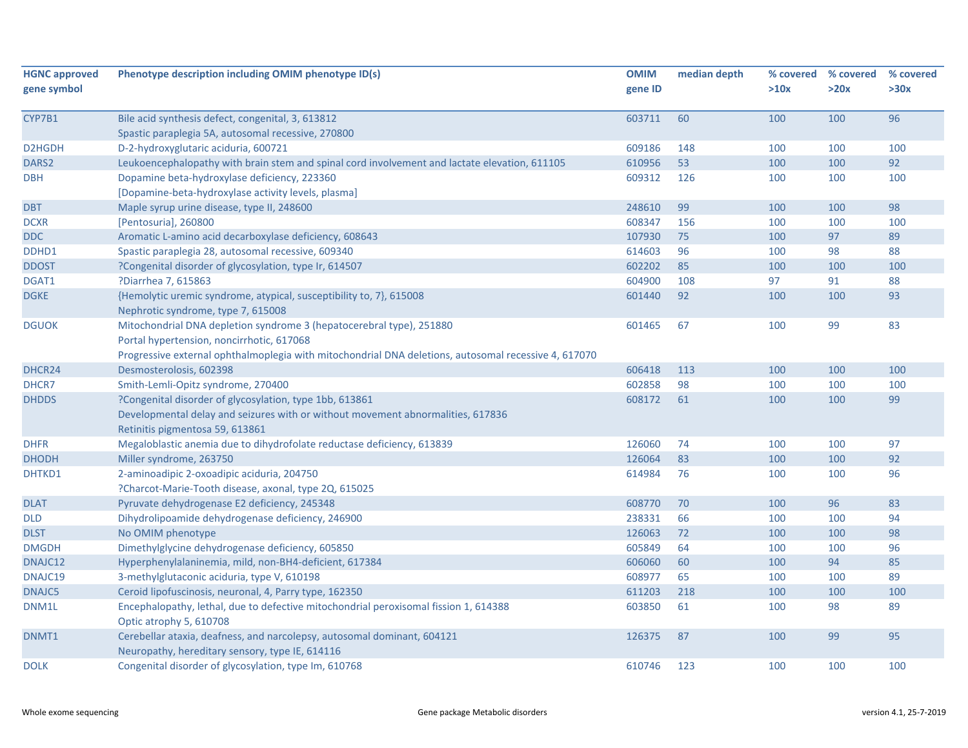| <b>HGNC approved</b><br>gene symbol | Phenotype description including OMIM phenotype ID(s)                                                            | <b>OMIM</b><br>gene ID | median depth | % covered<br>>10x | % covered<br>>20x | % covered<br>>30x |
|-------------------------------------|-----------------------------------------------------------------------------------------------------------------|------------------------|--------------|-------------------|-------------------|-------------------|
|                                     |                                                                                                                 |                        |              |                   |                   |                   |
| CYP7B1                              | Bile acid synthesis defect, congenital, 3, 613812                                                               | 603711                 | 60           | 100               | 100               | 96                |
|                                     | Spastic paraplegia 5A, autosomal recessive, 270800                                                              |                        |              |                   |                   |                   |
| D2HGDH                              | D-2-hydroxyglutaric aciduria, 600721                                                                            | 609186                 | 148          | 100               | 100               | 100               |
| DARS <sub>2</sub>                   | Leukoencephalopathy with brain stem and spinal cord involvement and lactate elevation, 611105                   | 610956                 | 53           | 100               | 100               | 92                |
| <b>DBH</b>                          | Dopamine beta-hydroxylase deficiency, 223360                                                                    | 609312                 | 126          | 100               | 100               | 100               |
|                                     | [Dopamine-beta-hydroxylase activity levels, plasma]                                                             |                        |              |                   |                   |                   |
| <b>DBT</b>                          | Maple syrup urine disease, type II, 248600                                                                      | 248610                 | 99           | 100               | 100               | 98                |
| <b>DCXR</b>                         | [Pentosuria], 260800                                                                                            | 608347                 | 156          | 100               | 100               | 100               |
| DDC                                 | Aromatic L-amino acid decarboxylase deficiency, 608643                                                          | 107930                 | 75           | 100               | 97                | 89                |
| DDHD1                               | Spastic paraplegia 28, autosomal recessive, 609340                                                              | 614603                 | 96           | 100               | 98                | 88                |
| <b>DDOST</b>                        | ?Congenital disorder of glycosylation, type Ir, 614507                                                          | 602202                 | 85           | 100               | 100               | 100               |
| DGAT1                               | ?Diarrhea 7, 615863                                                                                             | 604900                 | 108          | 97                | 91                | 88                |
| <b>DGKE</b>                         | {Hemolytic uremic syndrome, atypical, susceptibility to, 7}, 615008                                             | 601440                 | 92           | 100               | 100               | 93                |
|                                     | Nephrotic syndrome, type 7, 615008                                                                              |                        |              |                   |                   |                   |
| <b>DGUOK</b>                        | Mitochondrial DNA depletion syndrome 3 (hepatocerebral type), 251880                                            | 601465                 | 67           | 100               | 99                | 83                |
|                                     | Portal hypertension, noncirrhotic, 617068                                                                       |                        |              |                   |                   |                   |
|                                     | Progressive external ophthalmoplegia with mitochondrial DNA deletions, autosomal recessive 4, 617070            |                        |              |                   |                   |                   |
| DHCR24                              | Desmosterolosis, 602398                                                                                         | 606418                 | 113          | 100               | 100               | 100               |
| DHCR7                               | Smith-Lemli-Opitz syndrome, 270400                                                                              | 602858                 | 98           | 100               | 100               | 100               |
| <b>DHDDS</b>                        | ?Congenital disorder of glycosylation, type 1bb, 613861                                                         | 608172                 | 61           | 100               | 100               | 99                |
|                                     | Developmental delay and seizures with or without movement abnormalities, 617836                                 |                        |              |                   |                   |                   |
|                                     | Retinitis pigmentosa 59, 613861                                                                                 |                        |              |                   |                   |                   |
| <b>DHFR</b>                         | Megaloblastic anemia due to dihydrofolate reductase deficiency, 613839                                          | 126060                 | 74           | 100               | 100               | 97                |
| <b>DHODH</b>                        | Miller syndrome, 263750                                                                                         | 126064                 | 83           | 100               | 100               | 92                |
| DHTKD1                              | 2-aminoadipic 2-oxoadipic aciduria, 204750                                                                      | 614984                 | 76           | 100               | 100               | 96                |
|                                     | ?Charcot-Marie-Tooth disease, axonal, type 2Q, 615025                                                           |                        |              |                   |                   |                   |
| <b>DLAT</b>                         | Pyruvate dehydrogenase E2 deficiency, 245348                                                                    | 608770                 | 70           | 100               | 96                | 83                |
| <b>DLD</b>                          | Dihydrolipoamide dehydrogenase deficiency, 246900                                                               | 238331                 | 66           | 100               | 100               | 94                |
| <b>DLST</b>                         | No OMIM phenotype                                                                                               | 126063                 | 72           | 100               | 100               | 98                |
| <b>DMGDH</b>                        | Dimethylglycine dehydrogenase deficiency, 605850                                                                | 605849                 | 64           | 100               | 100               | 96                |
| DNAJC12                             | Hyperphenylalaninemia, mild, non-BH4-deficient, 617384                                                          | 606060                 | 60           | 100               | 94                | 85                |
| DNAJC19                             | 3-methylglutaconic aciduria, type V, 610198                                                                     | 608977                 | 65           | 100               | 100               | 89                |
| DNAJC5                              | Ceroid lipofuscinosis, neuronal, 4, Parry type, 162350                                                          | 611203                 | 218          | 100               | 100               | 100               |
| DNM1L                               | Encephalopathy, lethal, due to defective mitochondrial peroxisomal fission 1, 614388<br>Optic atrophy 5, 610708 | 603850                 | 61           | 100               | 98                | 89                |
| DNMT1                               | Cerebellar ataxia, deafness, and narcolepsy, autosomal dominant, 604121                                         | 126375                 | 87           | 100               | 99                | 95                |
|                                     | Neuropathy, hereditary sensory, type IE, 614116                                                                 |                        |              |                   |                   |                   |
| <b>DOLK</b>                         | Congenital disorder of glycosylation, type Im, 610768                                                           | 610746                 | 123          | 100               | 100               | 100               |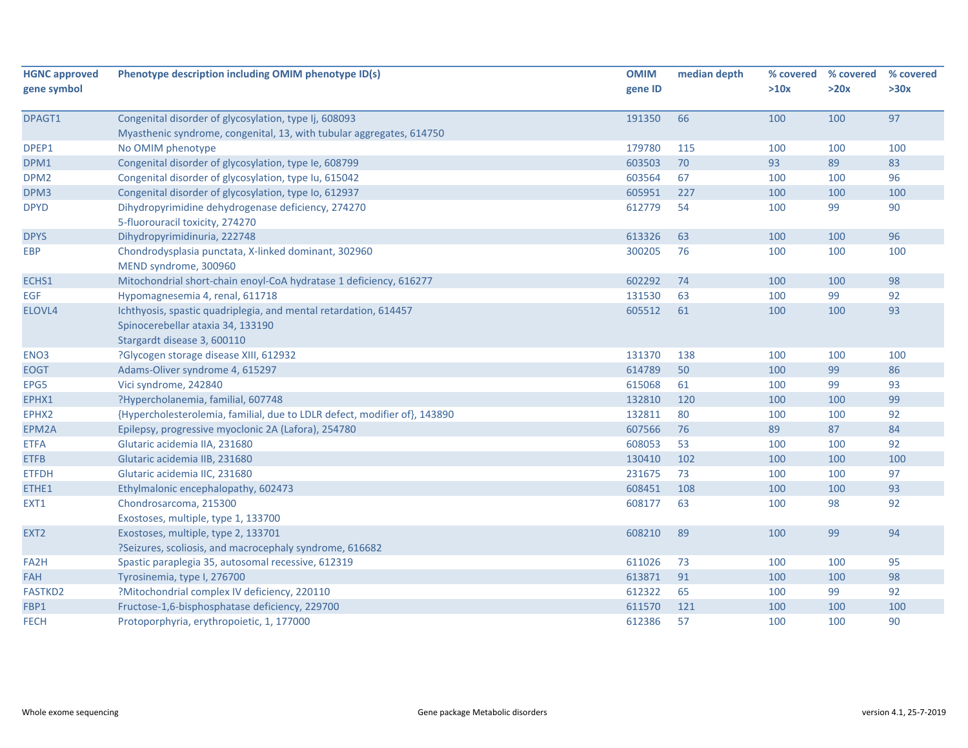| <b>HGNC approved</b> | Phenotype description including OMIM phenotype ID(s)                      | <b>OMIM</b> | median depth | % covered | % covered | % covered |
|----------------------|---------------------------------------------------------------------------|-------------|--------------|-----------|-----------|-----------|
| gene symbol          |                                                                           | gene ID     |              | >10x      | >20x      | >30x      |
| DPAGT1               | Congenital disorder of glycosylation, type Ij, 608093                     | 191350      | 66           | 100       | 100       | 97        |
|                      | Myasthenic syndrome, congenital, 13, with tubular aggregates, 614750      |             |              |           |           |           |
| DPEP1                | No OMIM phenotype                                                         | 179780      | 115          | 100       | 100       | 100       |
| DPM1                 | Congenital disorder of glycosylation, type Ie, 608799                     | 603503      | 70           | 93        | 89        | 83        |
| DPM <sub>2</sub>     | Congenital disorder of glycosylation, type Iu, 615042                     | 603564      | 67           | 100       | 100       | 96        |
| DPM3                 | Congenital disorder of glycosylation, type Io, 612937                     | 605951      | 227          | 100       | 100       | 100       |
| <b>DPYD</b>          | Dihydropyrimidine dehydrogenase deficiency, 274270                        | 612779      | 54           | 100       | 99        | 90        |
|                      | 5-fluorouracil toxicity, 274270                                           |             |              |           |           |           |
| <b>DPYS</b>          | Dihydropyrimidinuria, 222748                                              | 613326      | 63           | 100       | 100       | 96        |
| <b>EBP</b>           | Chondrodysplasia punctata, X-linked dominant, 302960                      | 300205      | 76           | 100       | 100       | 100       |
|                      | MEND syndrome, 300960                                                     |             |              |           |           |           |
| ECHS1                | Mitochondrial short-chain enoyl-CoA hydratase 1 deficiency, 616277        | 602292      | 74           | 100       | 100       | 98        |
| EGF                  | Hypomagnesemia 4, renal, 611718                                           | 131530      | 63           | 100       | 99        | 92        |
| ELOVL4               | Ichthyosis, spastic quadriplegia, and mental retardation, 614457          | 605512      | 61           | 100       | 100       | 93        |
|                      | Spinocerebellar ataxia 34, 133190                                         |             |              |           |           |           |
|                      | Stargardt disease 3, 600110                                               |             |              |           |           |           |
| ENO <sub>3</sub>     | ?Glycogen storage disease XIII, 612932                                    | 131370      | 138          | 100       | 100       | 100       |
| <b>EOGT</b>          | Adams-Oliver syndrome 4, 615297                                           | 614789      | 50           | 100       | 99        | 86        |
| EPG5                 | Vici syndrome, 242840                                                     | 615068      | 61           | 100       | 99        | 93        |
| EPHX1                | ?Hypercholanemia, familial, 607748                                        | 132810      | 120          | 100       | 100       | 99        |
| EPHX2                | {Hypercholesterolemia, familial, due to LDLR defect, modifier of}, 143890 | 132811      | 80           | 100       | 100       | 92        |
| EPM2A                | Epilepsy, progressive myoclonic 2A (Lafora), 254780                       | 607566      | 76           | 89        | 87        | 84        |
| <b>ETFA</b>          | Glutaric acidemia IIA, 231680                                             | 608053      | 53           | 100       | 100       | 92        |
| <b>ETFB</b>          | Glutaric acidemia IIB, 231680                                             | 130410      | 102          | 100       | 100       | 100       |
| <b>ETFDH</b>         | Glutaric acidemia IIC, 231680                                             | 231675      | 73           | 100       | 100       | 97        |
| ETHE1                | Ethylmalonic encephalopathy, 602473                                       | 608451      | 108          | 100       | 100       | 93        |
| EXT1                 | Chondrosarcoma, 215300                                                    | 608177      | 63           | 100       | 98        | 92        |
|                      | Exostoses, multiple, type 1, 133700                                       |             |              |           |           |           |
| EXT <sub>2</sub>     | Exostoses, multiple, type 2, 133701                                       | 608210      | 89           | 100       | 99        | 94        |
|                      | ?Seizures, scoliosis, and macrocephaly syndrome, 616682                   |             |              |           |           |           |
| FA <sub>2</sub> H    | Spastic paraplegia 35, autosomal recessive, 612319                        | 611026      | 73           | 100       | 100       | 95        |
| FAH                  | Tyrosinemia, type I, 276700                                               | 613871      | 91           | 100       | 100       | 98        |
| <b>FASTKD2</b>       | ?Mitochondrial complex IV deficiency, 220110                              | 612322      | 65           | 100       | 99        | 92        |
| FBP1                 | Fructose-1,6-bisphosphatase deficiency, 229700                            | 611570      | 121          | 100       | 100       | 100       |
| <b>FECH</b>          | Protoporphyria, erythropoietic, 1, 177000                                 | 612386      | 57           | 100       | 100       | 90        |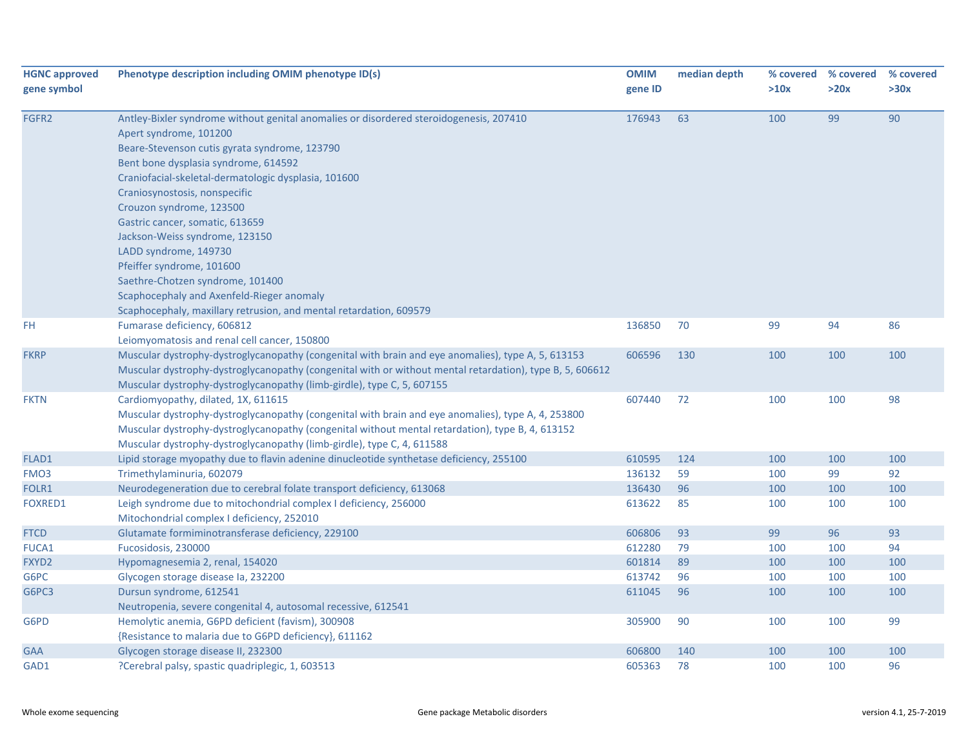| <b>HGNC approved</b> | Phenotype description including OMIM phenotype ID(s)                                                     | <b>OMIM</b> | median depth | % covered | % covered | % covered |
|----------------------|----------------------------------------------------------------------------------------------------------|-------------|--------------|-----------|-----------|-----------|
| gene symbol          |                                                                                                          | gene ID     |              | >10x      | >20x      | >30x      |
|                      |                                                                                                          |             |              |           |           |           |
| FGFR2                | Antley-Bixler syndrome without genital anomalies or disordered steroidogenesis, 207410                   | 176943      | 63           | 100       | 99        | 90        |
|                      | Apert syndrome, 101200                                                                                   |             |              |           |           |           |
|                      | Beare-Stevenson cutis gyrata syndrome, 123790                                                            |             |              |           |           |           |
|                      | Bent bone dysplasia syndrome, 614592                                                                     |             |              |           |           |           |
|                      | Craniofacial-skeletal-dermatologic dysplasia, 101600                                                     |             |              |           |           |           |
|                      | Craniosynostosis, nonspecific                                                                            |             |              |           |           |           |
|                      | Crouzon syndrome, 123500                                                                                 |             |              |           |           |           |
|                      | Gastric cancer, somatic, 613659                                                                          |             |              |           |           |           |
|                      | Jackson-Weiss syndrome, 123150                                                                           |             |              |           |           |           |
|                      | LADD syndrome, 149730                                                                                    |             |              |           |           |           |
|                      | Pfeiffer syndrome, 101600                                                                                |             |              |           |           |           |
|                      | Saethre-Chotzen syndrome, 101400                                                                         |             |              |           |           |           |
|                      | Scaphocephaly and Axenfeld-Rieger anomaly                                                                |             |              |           |           |           |
|                      | Scaphocephaly, maxillary retrusion, and mental retardation, 609579                                       |             |              |           |           |           |
| FH.                  | Fumarase deficiency, 606812                                                                              | 136850      | 70           | 99        | 94        | 86        |
|                      | Leiomyomatosis and renal cell cancer, 150800                                                             |             |              |           |           |           |
| <b>FKRP</b>          | Muscular dystrophy-dystroglycanopathy (congenital with brain and eye anomalies), type A, 5, 613153       | 606596      | 130          | 100       | 100       | 100       |
|                      | Muscular dystrophy-dystroglycanopathy (congenital with or without mental retardation), type B, 5, 606612 |             |              |           |           |           |
|                      | Muscular dystrophy-dystroglycanopathy (limb-girdle), type C, 5, 607155                                   |             |              |           |           |           |
| <b>FKTN</b>          | Cardiomyopathy, dilated, 1X, 611615                                                                      | 607440      | 72           | 100       | 100       | 98        |
|                      | Muscular dystrophy-dystroglycanopathy (congenital with brain and eye anomalies), type A, 4, 253800       |             |              |           |           |           |
|                      | Muscular dystrophy-dystroglycanopathy (congenital without mental retardation), type B, 4, 613152         |             |              |           |           |           |
|                      | Muscular dystrophy-dystroglycanopathy (limb-girdle), type C, 4, 611588                                   |             |              |           |           |           |
| FLAD1                | Lipid storage myopathy due to flavin adenine dinucleotide synthetase deficiency, 255100                  | 610595      | 124          | 100       | 100       | 100       |
| FMO <sub>3</sub>     | Trimethylaminuria, 602079                                                                                | 136132      | 59           | 100       | 99        | 92        |
| FOLR1                | Neurodegeneration due to cerebral folate transport deficiency, 613068                                    | 136430      | 96           | 100       | 100       | 100       |
| <b>FOXRED1</b>       | Leigh syndrome due to mitochondrial complex I deficiency, 256000                                         | 613622      | 85           | 100       | 100       | 100       |
|                      | Mitochondrial complex I deficiency, 252010                                                               |             |              |           |           |           |
| <b>FTCD</b>          | Glutamate formiminotransferase deficiency, 229100                                                        | 606806      | 93           | 99        | 96        | 93        |
| FUCA1                | Fucosidosis, 230000                                                                                      | 612280      | 79           | 100       | 100       | 94        |
| FXYD2                | Hypomagnesemia 2, renal, 154020                                                                          | 601814      | 89           | 100       | 100       | 100       |
| G6PC                 | Glycogen storage disease la, 232200                                                                      | 613742      | 96           | 100       | 100       | 100       |
| G6PC3                | Dursun syndrome, 612541                                                                                  | 611045      | 96           | 100       | 100       | 100       |
|                      | Neutropenia, severe congenital 4, autosomal recessive, 612541                                            |             |              |           |           |           |
| G6PD                 | Hemolytic anemia, G6PD deficient (favism), 300908                                                        | 305900      | 90           | 100       | 100       | 99        |
|                      | {Resistance to malaria due to G6PD deficiency}, 611162                                                   |             |              |           |           |           |
| <b>GAA</b>           | Glycogen storage disease II, 232300                                                                      | 606800      | 140          | 100       | 100       | 100       |
| GAD1                 | ?Cerebral palsy, spastic quadriplegic, 1, 603513                                                         | 605363      | 78           | 100       | 100       | 96        |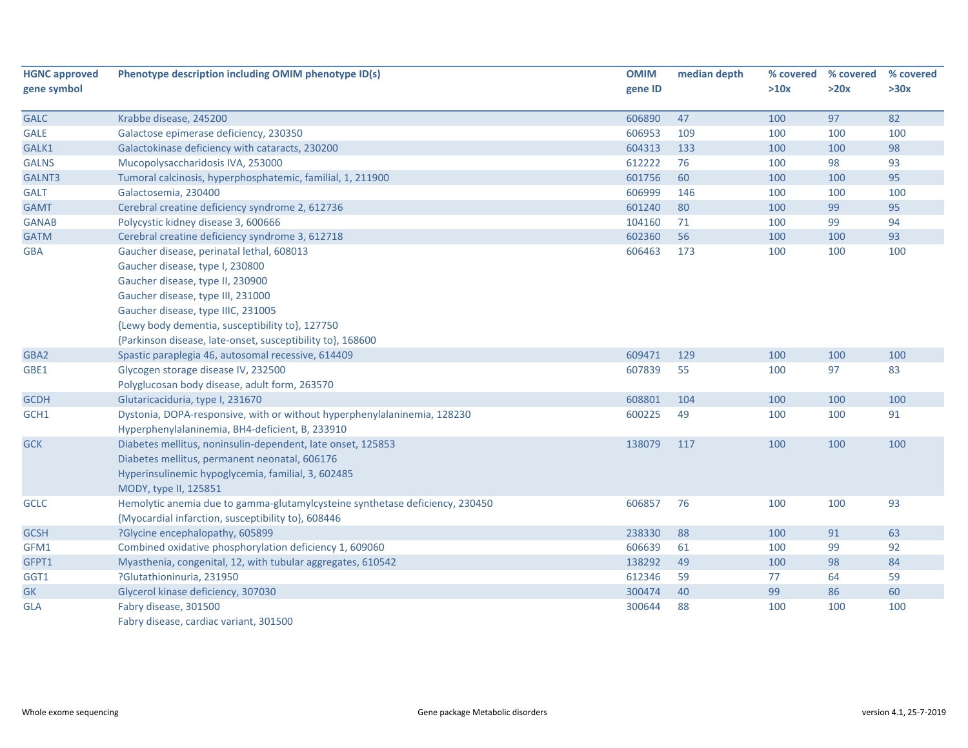| <b>HGNC approved</b><br>gene symbol | Phenotype description including OMIM phenotype ID(s)                         | <b>OMIM</b><br>gene ID | median depth | % covered<br>>10x | % covered<br>>20x | % covered<br>>30x |
|-------------------------------------|------------------------------------------------------------------------------|------------------------|--------------|-------------------|-------------------|-------------------|
|                                     |                                                                              |                        |              |                   |                   |                   |
| <b>GALC</b>                         | Krabbe disease, 245200                                                       | 606890                 | 47           | 100               | 97                | 82                |
| <b>GALE</b>                         | Galactose epimerase deficiency, 230350                                       | 606953                 | 109          | 100               | 100               | 100               |
| GALK1                               | Galactokinase deficiency with cataracts, 230200                              | 604313<br>612222       | 133          | 100               | 100               | 98                |
| <b>GALNS</b>                        | Mucopolysaccharidosis IVA, 253000                                            | 601756                 | 76           | 100               | 98                | 93<br>95          |
| GALNT3                              | Tumoral calcinosis, hyperphosphatemic, familial, 1, 211900                   |                        | 60           | 100               | 100               |                   |
| <b>GALT</b>                         | Galactosemia, 230400                                                         | 606999                 | 146          | 100               | 100               | 100               |
| <b>GAMT</b>                         | Cerebral creatine deficiency syndrome 2, 612736                              | 601240                 | 80           | 100               | 99                | 95                |
| <b>GANAB</b>                        | Polycystic kidney disease 3, 600666                                          | 104160                 | 71           | 100               | 99                | 94                |
| <b>GATM</b>                         | Cerebral creatine deficiency syndrome 3, 612718                              | 602360                 | 56           | 100               | 100               | 93                |
| <b>GBA</b>                          | Gaucher disease, perinatal lethal, 608013                                    | 606463                 | 173          | 100               | 100               | 100               |
|                                     | Gaucher disease, type I, 230800                                              |                        |              |                   |                   |                   |
|                                     | Gaucher disease, type II, 230900                                             |                        |              |                   |                   |                   |
|                                     | Gaucher disease, type III, 231000                                            |                        |              |                   |                   |                   |
|                                     | Gaucher disease, type IIIC, 231005                                           |                        |              |                   |                   |                   |
|                                     | {Lewy body dementia, susceptibility to}, 127750                              |                        |              |                   |                   |                   |
|                                     | {Parkinson disease, late-onset, susceptibility to}, 168600                   |                        |              |                   |                   |                   |
| GBA2                                | Spastic paraplegia 46, autosomal recessive, 614409                           | 609471                 | 129          | 100               | 100               | 100               |
| GBE1                                | Glycogen storage disease IV, 232500                                          | 607839                 | 55           | 100               | 97                | 83                |
|                                     | Polyglucosan body disease, adult form, 263570                                |                        |              |                   |                   |                   |
| <b>GCDH</b>                         | Glutaricaciduria, type I, 231670                                             | 608801                 | 104          | 100               | 100               | 100               |
| GCH1                                | Dystonia, DOPA-responsive, with or without hyperphenylalaninemia, 128230     | 600225                 | 49           | 100               | 100               | 91                |
|                                     | Hyperphenylalaninemia, BH4-deficient, B, 233910                              |                        |              |                   |                   |                   |
| <b>GCK</b>                          | Diabetes mellitus, noninsulin-dependent, late onset, 125853                  | 138079                 | 117          | 100               | 100               | 100               |
|                                     | Diabetes mellitus, permanent neonatal, 606176                                |                        |              |                   |                   |                   |
|                                     | Hyperinsulinemic hypoglycemia, familial, 3, 602485                           |                        |              |                   |                   |                   |
|                                     | MODY, type II, 125851                                                        |                        |              |                   |                   |                   |
| <b>GCLC</b>                         | Hemolytic anemia due to gamma-glutamylcysteine synthetase deficiency, 230450 | 606857                 | 76           | 100               | 100               | 93                |
|                                     | {Myocardial infarction, susceptibility to}, 608446                           |                        |              |                   |                   |                   |
| <b>GCSH</b>                         | ?Glycine encephalopathy, 605899                                              | 238330                 | 88           | 100               | 91                | 63                |
| GFM1                                | Combined oxidative phosphorylation deficiency 1, 609060                      | 606639                 | 61           | 100               | 99                | 92                |
| GFPT1                               | Myasthenia, congenital, 12, with tubular aggregates, 610542                  | 138292                 | 49           | 100               | 98                | 84                |
| GGT1                                | ?Glutathioninuria, 231950                                                    | 612346                 | 59           | 77                | 64                | 59                |
| <b>GK</b>                           | Glycerol kinase deficiency, 307030                                           | 300474                 | 40           | 99                | 86                | 60                |
| <b>GLA</b>                          | Fabry disease, 301500                                                        | 300644                 | 88           | 100               | 100               | 100               |
|                                     | Fabry disease, cardiac variant, 301500                                       |                        |              |                   |                   |                   |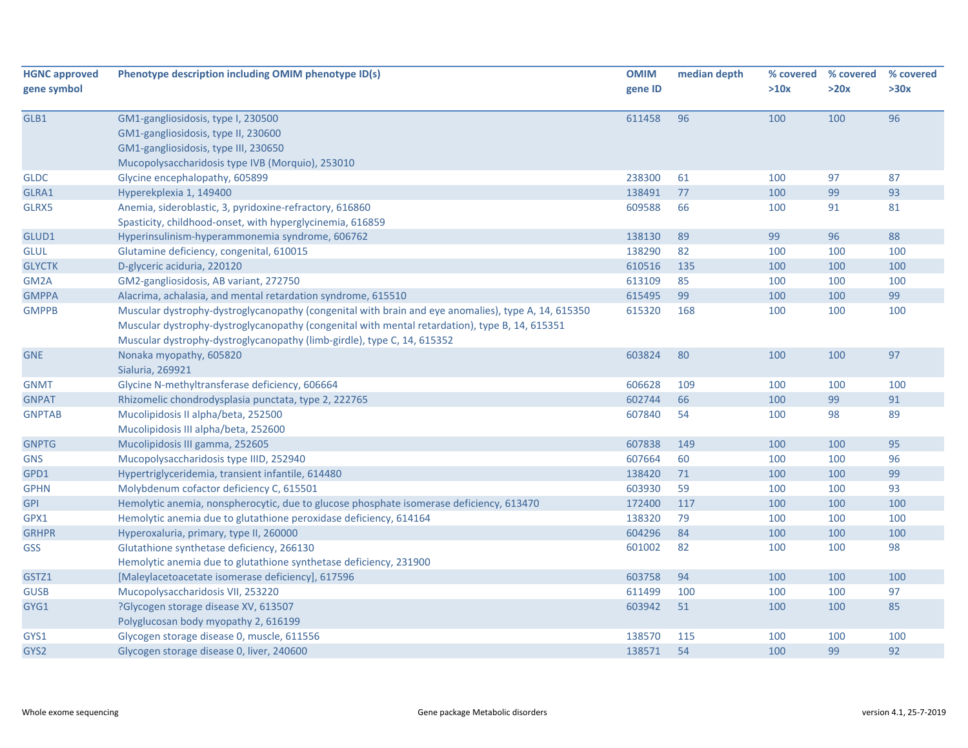| <b>HGNC approved</b> | Phenotype description including OMIM phenotype ID(s)                                                | <b>OMIM</b> | median depth | % covered | % covered | % covered |
|----------------------|-----------------------------------------------------------------------------------------------------|-------------|--------------|-----------|-----------|-----------|
| gene symbol          |                                                                                                     | gene ID     |              | >10x      | >20x      | >30x      |
| GLB1                 | GM1-gangliosidosis, type I, 230500                                                                  | 611458      | 96           | 100       | 100       | 96        |
|                      | GM1-gangliosidosis, type II, 230600                                                                 |             |              |           |           |           |
|                      | GM1-gangliosidosis, type III, 230650                                                                |             |              |           |           |           |
|                      | Mucopolysaccharidosis type IVB (Morquio), 253010                                                    |             |              |           |           |           |
| <b>GLDC</b>          | Glycine encephalopathy, 605899                                                                      | 238300      | 61           | 100       | 97        | 87        |
| GLRA1                | Hyperekplexia 1, 149400                                                                             | 138491      | 77           | 100       | 99        | 93        |
| GLRX5                | Anemia, sideroblastic, 3, pyridoxine-refractory, 616860                                             | 609588      | 66           | 100       | 91        | 81        |
|                      | Spasticity, childhood-onset, with hyperglycinemia, 616859                                           |             |              |           |           |           |
| GLUD1                | Hyperinsulinism-hyperammonemia syndrome, 606762                                                     | 138130      | 89           | 99        | 96        | 88        |
| <b>GLUL</b>          | Glutamine deficiency, congenital, 610015                                                            | 138290      | 82           | 100       | 100       | 100       |
| <b>GLYCTK</b>        | D-glyceric aciduria, 220120                                                                         | 610516      | 135          | 100       | 100       | 100       |
| GM2A                 | GM2-gangliosidosis, AB variant, 272750                                                              | 613109      | 85           | 100       | 100       | 100       |
| <b>GMPPA</b>         | Alacrima, achalasia, and mental retardation syndrome, 615510                                        | 615495      | 99           | 100       | 100       | 99        |
| <b>GMPPB</b>         | Muscular dystrophy-dystroglycanopathy (congenital with brain and eye anomalies), type A, 14, 615350 | 615320      | 168          | 100       | 100       | 100       |
|                      | Muscular dystrophy-dystroglycanopathy (congenital with mental retardation), type B, 14, 615351      |             |              |           |           |           |
|                      | Muscular dystrophy-dystroglycanopathy (limb-girdle), type C, 14, 615352                             |             |              |           |           |           |
| <b>GNE</b>           | Nonaka myopathy, 605820                                                                             | 603824      | 80           | 100       | 100       | 97        |
|                      | Sialuria, 269921                                                                                    |             |              |           |           |           |
| <b>GNMT</b>          | Glycine N-methyltransferase deficiency, 606664                                                      | 606628      | 109          | 100       | 100       | 100       |
| <b>GNPAT</b>         | Rhizomelic chondrodysplasia punctata, type 2, 222765                                                | 602744      | 66           | 100       | 99        | 91        |
| <b>GNPTAB</b>        | Mucolipidosis II alpha/beta, 252500                                                                 | 607840      | 54           | 100       | 98        | 89        |
|                      | Mucolipidosis III alpha/beta, 252600                                                                |             |              |           |           |           |
| <b>GNPTG</b>         | Mucolipidosis III gamma, 252605                                                                     | 607838      | 149          | 100       | 100       | 95        |
| <b>GNS</b>           | Mucopolysaccharidosis type IIID, 252940                                                             | 607664      | 60           | 100       | 100       | 96        |
| GPD1                 | Hypertriglyceridemia, transient infantile, 614480                                                   | 138420      | 71           | 100       | 100       | 99        |
| <b>GPHN</b>          | Molybdenum cofactor deficiency C, 615501                                                            | 603930      | 59           | 100       | 100       | 93        |
| <b>GPI</b>           | Hemolytic anemia, nonspherocytic, due to glucose phosphate isomerase deficiency, 613470             | 172400      | 117          | 100       | 100       | 100       |
| GPX1                 | Hemolytic anemia due to glutathione peroxidase deficiency, 614164                                   | 138320      | 79           | 100       | 100       | 100       |
| <b>GRHPR</b>         | Hyperoxaluria, primary, type II, 260000                                                             | 604296      | 84           | 100       | 100       | 100       |
| <b>GSS</b>           | Glutathione synthetase deficiency, 266130                                                           | 601002      | 82           | 100       | 100       | 98        |
|                      | Hemolytic anemia due to glutathione synthetase deficiency, 231900                                   |             |              |           |           |           |
| GSTZ1                | [Maleylacetoacetate isomerase deficiency], 617596                                                   | 603758      | 94           | 100       | 100       | 100       |
| <b>GUSB</b>          | Mucopolysaccharidosis VII, 253220                                                                   | 611499      | 100          | 100       | 100       | 97        |
| GYG1                 | ?Glycogen storage disease XV, 613507                                                                | 603942      | 51           | 100       | 100       | 85        |
|                      | Polyglucosan body myopathy 2, 616199                                                                |             |              |           |           |           |
| GYS1                 | Glycogen storage disease 0, muscle, 611556                                                          | 138570      | 115          | 100       | 100       | 100       |
| GYS2                 | Glycogen storage disease 0, liver, 240600                                                           | 138571      | 54           | 100       | 99        | 92        |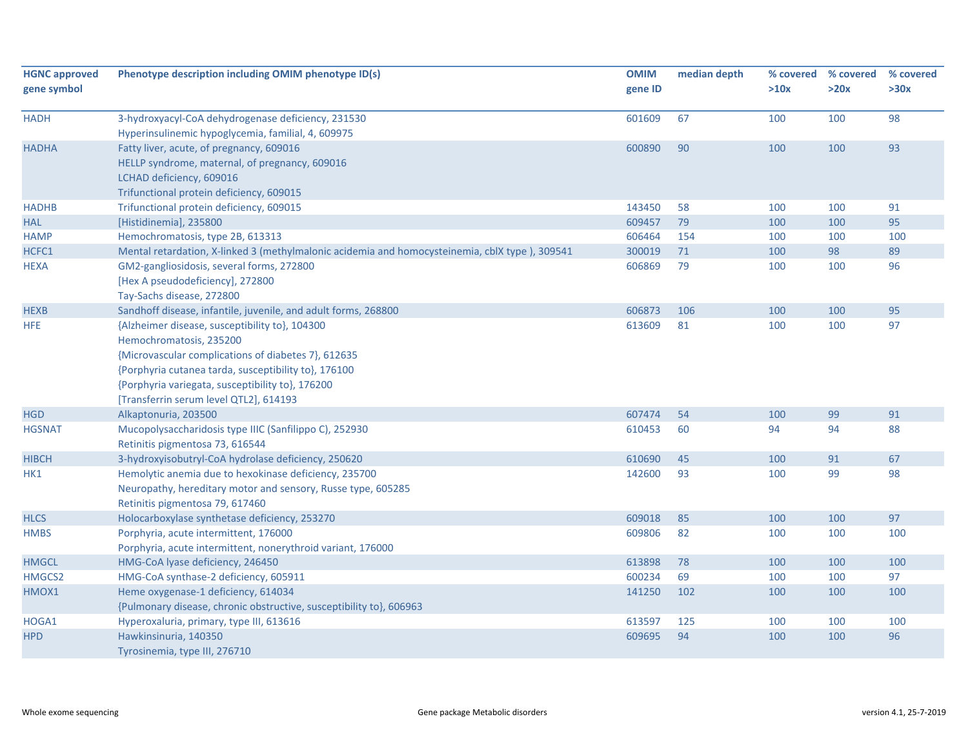| <b>HGNC approved</b> | Phenotype description including OMIM phenotype ID(s)                                                                                                                                                                                                                                   | <b>OMIM</b> | median depth | % covered | % covered | % covered |
|----------------------|----------------------------------------------------------------------------------------------------------------------------------------------------------------------------------------------------------------------------------------------------------------------------------------|-------------|--------------|-----------|-----------|-----------|
| gene symbol          |                                                                                                                                                                                                                                                                                        | gene ID     |              | >10x      | >20x      | >30x      |
| <b>HADH</b>          | 3-hydroxyacyl-CoA dehydrogenase deficiency, 231530                                                                                                                                                                                                                                     | 601609      | 67           | 100       | 100       | 98        |
|                      | Hyperinsulinemic hypoglycemia, familial, 4, 609975                                                                                                                                                                                                                                     |             |              |           |           |           |
| <b>HADHA</b>         | Fatty liver, acute, of pregnancy, 609016                                                                                                                                                                                                                                               | 600890      | 90           | 100       | 100       | 93        |
|                      | HELLP syndrome, maternal, of pregnancy, 609016<br>LCHAD deficiency, 609016                                                                                                                                                                                                             |             |              |           |           |           |
|                      | Trifunctional protein deficiency, 609015                                                                                                                                                                                                                                               |             |              |           |           |           |
| <b>HADHB</b>         | Trifunctional protein deficiency, 609015                                                                                                                                                                                                                                               | 143450      | 58           | 100       | 100       | 91        |
| <b>HAL</b>           | [Histidinemia], 235800                                                                                                                                                                                                                                                                 | 609457      | 79           | 100       | 100       | 95        |
| <b>HAMP</b>          | Hemochromatosis, type 2B, 613313                                                                                                                                                                                                                                                       | 606464      | 154          | 100       | 100       | 100       |
| HCFC1                | Mental retardation, X-linked 3 (methylmalonic acidemia and homocysteinemia, cblX type), 309541                                                                                                                                                                                         | 300019      | 71           | 100       | 98        | 89        |
| <b>HEXA</b>          | GM2-gangliosidosis, several forms, 272800<br>[Hex A pseudodeficiency], 272800<br>Tay-Sachs disease, 272800                                                                                                                                                                             | 606869      | 79           | 100       | 100       | 96        |
| <b>HEXB</b>          | Sandhoff disease, infantile, juvenile, and adult forms, 268800                                                                                                                                                                                                                         | 606873      | 106          | 100       | 100       | 95        |
| <b>HFE</b>           | {Alzheimer disease, susceptibility to}, 104300<br>Hemochromatosis, 235200<br>{Microvascular complications of diabetes 7}, 612635<br>{Porphyria cutanea tarda, susceptibility to}, 176100<br>{Porphyria variegata, susceptibility to}, 176200<br>[Transferrin serum level QTL2], 614193 | 613609      | 81           | 100       | 100       | 97        |
| <b>HGD</b>           | Alkaptonuria, 203500                                                                                                                                                                                                                                                                   | 607474      | 54           | 100       | 99        | 91        |
| <b>HGSNAT</b>        | Mucopolysaccharidosis type IIIC (Sanfilippo C), 252930<br>Retinitis pigmentosa 73, 616544                                                                                                                                                                                              | 610453      | 60           | 94        | 94        | 88        |
| <b>HIBCH</b>         | 3-hydroxyisobutryl-CoA hydrolase deficiency, 250620                                                                                                                                                                                                                                    | 610690      | 45           | 100       | 91        | 67        |
| HK1                  | Hemolytic anemia due to hexokinase deficiency, 235700<br>Neuropathy, hereditary motor and sensory, Russe type, 605285<br>Retinitis pigmentosa 79, 617460                                                                                                                               | 142600      | 93           | 100       | 99        | 98        |
| <b>HLCS</b>          | Holocarboxylase synthetase deficiency, 253270                                                                                                                                                                                                                                          | 609018      | 85           | 100       | 100       | 97        |
| <b>HMBS</b>          | Porphyria, acute intermittent, 176000<br>Porphyria, acute intermittent, nonerythroid variant, 176000                                                                                                                                                                                   | 609806      | 82           | 100       | 100       | 100       |
| <b>HMGCL</b>         | HMG-CoA lyase deficiency, 246450                                                                                                                                                                                                                                                       | 613898      | 78           | 100       | 100       | 100       |
| HMGCS2               | HMG-CoA synthase-2 deficiency, 605911                                                                                                                                                                                                                                                  | 600234      | 69           | 100       | 100       | 97        |
| HMOX1                | Heme oxygenase-1 deficiency, 614034<br>{Pulmonary disease, chronic obstructive, susceptibility to}, 606963                                                                                                                                                                             | 141250      | 102          | 100       | 100       | 100       |
| HOGA1                | Hyperoxaluria, primary, type III, 613616                                                                                                                                                                                                                                               | 613597      | 125          | 100       | 100       | 100       |
| <b>HPD</b>           | Hawkinsinuria, 140350<br>Tyrosinemia, type III, 276710                                                                                                                                                                                                                                 | 609695      | 94           | 100       | 100       | 96        |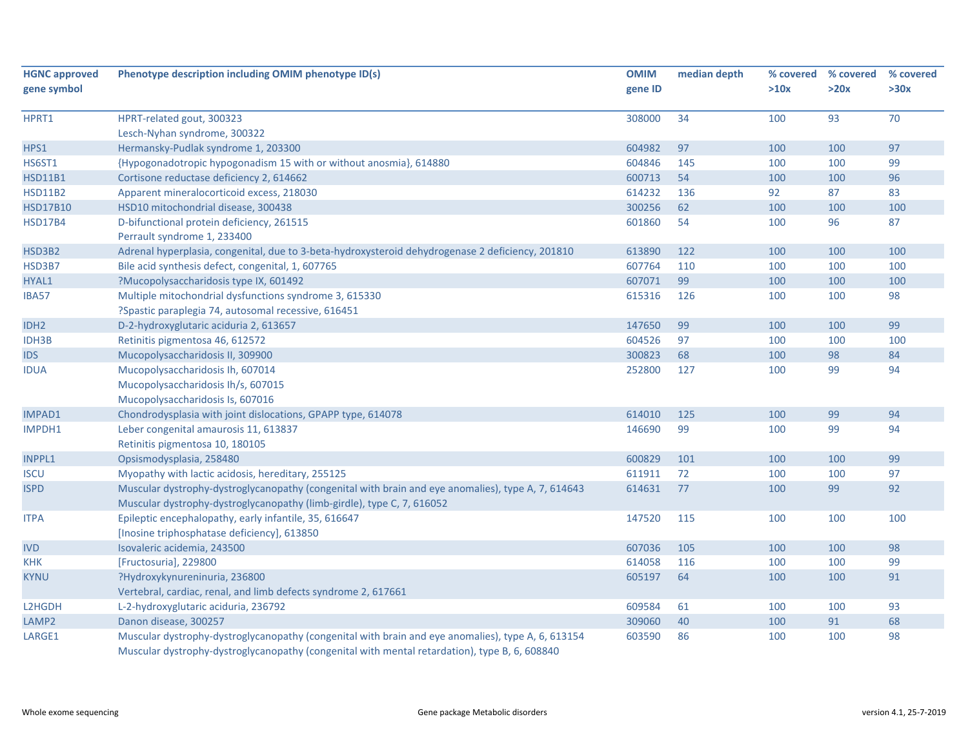| <b>HGNC approved</b> | Phenotype description including OMIM phenotype ID(s)                                               | <b>OMIM</b> | median depth |      | % covered % covered | % covered |
|----------------------|----------------------------------------------------------------------------------------------------|-------------|--------------|------|---------------------|-----------|
| gene symbol          |                                                                                                    | gene ID     |              | >10x | >20x                | >30x      |
| HPRT1                | HPRT-related gout, 300323                                                                          | 308000      | 34           | 100  | 93                  | 70        |
|                      | Lesch-Nyhan syndrome, 300322                                                                       |             |              |      |                     |           |
| HPS1                 | Hermansky-Pudlak syndrome 1, 203300                                                                | 604982      | 97           | 100  | 100                 | 97        |
| HS6ST1               | {Hypogonadotropic hypogonadism 15 with or without anosmia}, 614880                                 | 604846      | 145          | 100  | 100                 | 99        |
| <b>HSD11B1</b>       | Cortisone reductase deficiency 2, 614662                                                           | 600713      | 54           | 100  | 100                 | 96        |
| <b>HSD11B2</b>       | Apparent mineralocorticoid excess, 218030                                                          | 614232      | 136          | 92   | 87                  | 83        |
| <b>HSD17B10</b>      | HSD10 mitochondrial disease, 300438                                                                | 300256      | 62           | 100  | 100                 | 100       |
| <b>HSD17B4</b>       | D-bifunctional protein deficiency, 261515                                                          | 601860      | 54           | 100  | 96                  | 87        |
|                      | Perrault syndrome 1, 233400                                                                        |             |              |      |                     |           |
| HSD3B2               | Adrenal hyperplasia, congenital, due to 3-beta-hydroxysteroid dehydrogenase 2 deficiency, 201810   | 613890      | 122          | 100  | 100                 | 100       |
| HSD3B7               | Bile acid synthesis defect, congenital, 1, 607765                                                  | 607764      | 110          | 100  | 100                 | 100       |
| HYAL1                | ?Mucopolysaccharidosis type IX, 601492                                                             | 607071      | 99           | 100  | 100                 | 100       |
| IBA57                | Multiple mitochondrial dysfunctions syndrome 3, 615330                                             | 615316      | 126          | 100  | 100                 | 98        |
|                      | ?Spastic paraplegia 74, autosomal recessive, 616451                                                |             |              |      |                     |           |
| IDH <sub>2</sub>     | D-2-hydroxyglutaric aciduria 2, 613657                                                             | 147650      | 99           | 100  | 100                 | 99        |
| IDH3B                | Retinitis pigmentosa 46, 612572                                                                    | 604526      | 97           | 100  | 100                 | 100       |
| <b>IDS</b>           | Mucopolysaccharidosis II, 309900                                                                   | 300823      | 68           | 100  | 98                  | 84        |
| <b>IDUA</b>          | Mucopolysaccharidosis Ih, 607014                                                                   | 252800      | 127          | 100  | 99                  | 94        |
|                      | Mucopolysaccharidosis Ih/s, 607015                                                                 |             |              |      |                     |           |
|                      | Mucopolysaccharidosis Is, 607016                                                                   |             |              |      |                     |           |
| IMPAD1               | Chondrodysplasia with joint dislocations, GPAPP type, 614078                                       | 614010      | 125          | 100  | 99                  | 94        |
| IMPDH1               | Leber congenital amaurosis 11, 613837                                                              | 146690      | 99           | 100  | 99                  | 94        |
|                      | Retinitis pigmentosa 10, 180105                                                                    |             |              |      |                     |           |
| <b>INPPL1</b>        | Opsismodysplasia, 258480                                                                           | 600829      | 101          | 100  | 100                 | 99        |
| <b>ISCU</b>          | Myopathy with lactic acidosis, hereditary, 255125                                                  | 611911      | 72           | 100  | 100                 | 97        |
| <b>ISPD</b>          | Muscular dystrophy-dystroglycanopathy (congenital with brain and eye anomalies), type A, 7, 614643 | 614631      | 77           | 100  | 99                  | 92        |
|                      | Muscular dystrophy-dystroglycanopathy (limb-girdle), type C, 7, 616052                             |             |              |      |                     |           |
| <b>ITPA</b>          | Epileptic encephalopathy, early infantile, 35, 616647                                              | 147520      | 115          | 100  | 100                 | 100       |
|                      | [Inosine triphosphatase deficiency], 613850                                                        |             |              |      |                     |           |
| <b>IVD</b>           | Isovaleric acidemia, 243500                                                                        | 607036      | 105          | 100  | 100                 | 98        |
| <b>KHK</b>           | [Fructosuria], 229800                                                                              | 614058      | 116          | 100  | 100                 | 99        |
| <b>KYNU</b>          | ?Hydroxykynureninuria, 236800                                                                      | 605197      | 64           | 100  | 100                 | 91        |
|                      | Vertebral, cardiac, renal, and limb defects syndrome 2, 617661                                     |             |              |      |                     |           |
| L2HGDH               | L-2-hydroxyglutaric aciduria, 236792                                                               | 609584      | 61           | 100  | 100                 | 93        |
| LAMP2                | Danon disease, 300257                                                                              | 309060      | 40           | 100  | 91                  | 68        |
| LARGE1               | Muscular dystrophy-dystroglycanopathy (congenital with brain and eye anomalies), type A, 6, 613154 | 603590      | 86           | 100  | 100                 | 98        |
|                      | Muscular dystrophy-dystroglycanopathy (congenital with mental retardation), type B, 6, 608840      |             |              |      |                     |           |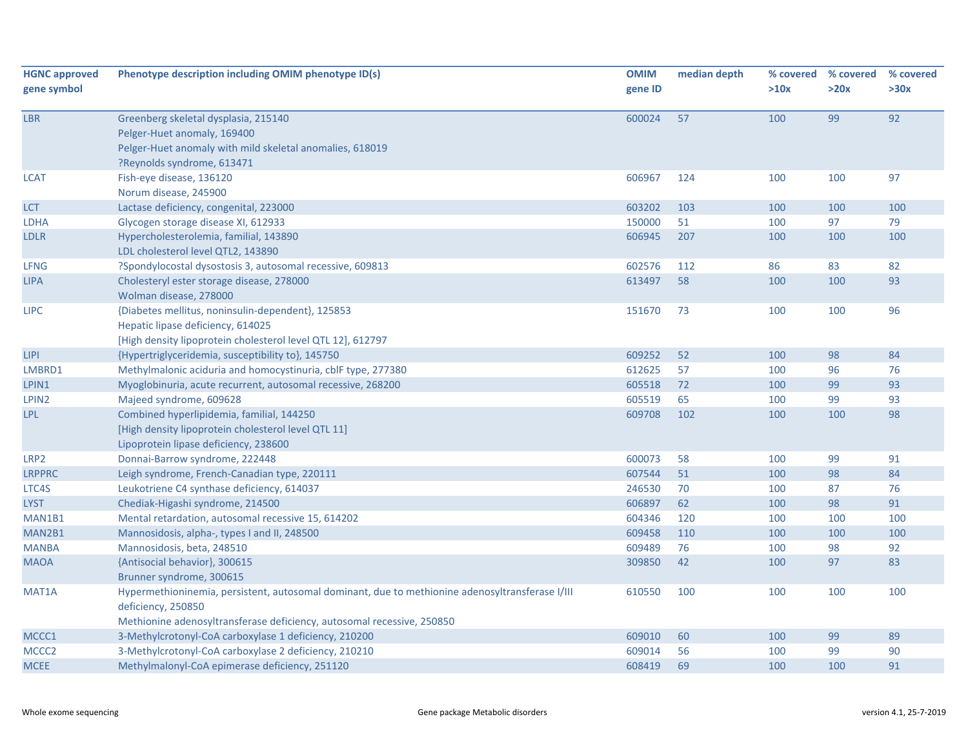| <b>HGNC approved</b> | Phenotype description including OMIM phenotype ID(s)                                            | <b>OMIM</b> | median depth |      | % covered % covered | % covered |
|----------------------|-------------------------------------------------------------------------------------------------|-------------|--------------|------|---------------------|-----------|
| gene symbol          |                                                                                                 | gene ID     |              | >10x | >20x                | >30x      |
|                      |                                                                                                 |             |              |      |                     |           |
| LBR                  | Greenberg skeletal dysplasia, 215140                                                            | 600024      | 57           | 100  | 99                  | 92        |
|                      | Pelger-Huet anomaly, 169400                                                                     |             |              |      |                     |           |
|                      | Pelger-Huet anomaly with mild skeletal anomalies, 618019                                        |             |              |      |                     |           |
|                      | ?Reynolds syndrome, 613471                                                                      |             |              |      |                     |           |
| <b>LCAT</b>          | Fish-eye disease, 136120                                                                        | 606967      | 124          | 100  | 100                 | 97        |
|                      | Norum disease, 245900                                                                           |             |              |      |                     |           |
| <b>LCT</b>           | Lactase deficiency, congenital, 223000                                                          | 603202      | 103          | 100  | 100                 | 100       |
| LDHA                 | Glycogen storage disease XI, 612933                                                             | 150000      | 51           | 100  | 97                  | 79        |
| <b>LDLR</b>          | Hypercholesterolemia, familial, 143890                                                          | 606945      | 207          | 100  | 100                 | 100       |
|                      | LDL cholesterol level QTL2, 143890                                                              |             |              |      |                     |           |
| LFNG                 | ?Spondylocostal dysostosis 3, autosomal recessive, 609813                                       | 602576      | 112          | 86   | 83                  | 82        |
| <b>LIPA</b>          | Cholesteryl ester storage disease, 278000                                                       | 613497      | 58           | 100  | 100                 | 93        |
|                      | Wolman disease, 278000                                                                          |             |              |      |                     |           |
| <b>LIPC</b>          | {Diabetes mellitus, noninsulin-dependent}, 125853                                               | 151670      | 73           | 100  | 100                 | 96        |
|                      | Hepatic lipase deficiency, 614025                                                               |             |              |      |                     |           |
|                      | [High density lipoprotein cholesterol level QTL 12], 612797                                     |             |              |      |                     |           |
| <b>LIPI</b>          | {Hypertriglyceridemia, susceptibility to}, 145750                                               | 609252      | 52           | 100  | 98                  | 84        |
| LMBRD1               | Methylmalonic aciduria and homocystinuria, cblF type, 277380                                    | 612625      | 57           | 100  | 96                  | 76        |
| LPIN1                | Myoglobinuria, acute recurrent, autosomal recessive, 268200                                     | 605518      | 72           | 100  | 99                  | 93        |
| LPIN2                | Majeed syndrome, 609628                                                                         | 605519      | 65           | 100  | 99                  | 93        |
| <b>LPL</b>           | Combined hyperlipidemia, familial, 144250                                                       | 609708      | 102          | 100  | 100                 | 98        |
|                      | [High density lipoprotein cholesterol level QTL 11]                                             |             |              |      |                     |           |
|                      | Lipoprotein lipase deficiency, 238600                                                           |             |              |      |                     |           |
| LRP2                 | Donnai-Barrow syndrome, 222448                                                                  | 600073      | 58           | 100  | 99                  | 91        |
| <b>LRPPRC</b>        | Leigh syndrome, French-Canadian type, 220111                                                    | 607544      | 51           | 100  | 98                  | 84        |
| LTC4S                | Leukotriene C4 synthase deficiency, 614037                                                      | 246530      | 70           | 100  | 87                  | 76        |
| <b>LYST</b>          | Chediak-Higashi syndrome, 214500                                                                | 606897      | 62           | 100  | 98                  | 91        |
| MAN1B1               | Mental retardation, autosomal recessive 15, 614202                                              | 604346      | 120          | 100  | 100                 | 100       |
| MAN2B1               | Mannosidosis, alpha-, types I and II, 248500                                                    | 609458      | 110          | 100  | 100                 | 100       |
| <b>MANBA</b>         | Mannosidosis, beta, 248510                                                                      | 609489      | 76           | 100  | 98                  | 92        |
| <b>MAOA</b>          | {Antisocial behavior}, 300615                                                                   | 309850      | 42           | 100  | 97                  | 83        |
|                      | Brunner syndrome, 300615                                                                        |             |              |      |                     |           |
| MAT1A                | Hypermethioninemia, persistent, autosomal dominant, due to methionine adenosyltransferase I/III | 610550      | 100          | 100  | 100                 | 100       |
|                      | deficiency, 250850                                                                              |             |              |      |                     |           |
|                      | Methionine adenosyltransferase deficiency, autosomal recessive, 250850                          |             |              |      |                     |           |
| MCCC1                | 3-Methylcrotonyl-CoA carboxylase 1 deficiency, 210200                                           | 609010      | 60           | 100  | 99                  | 89        |
| MCCC <sub>2</sub>    | 3-Methylcrotonyl-CoA carboxylase 2 deficiency, 210210                                           | 609014      | 56           | 100  | 99                  | 90        |
| <b>MCEE</b>          | Methylmalonyl-CoA epimerase deficiency, 251120                                                  | 608419      | 69           | 100  | 100                 | 91        |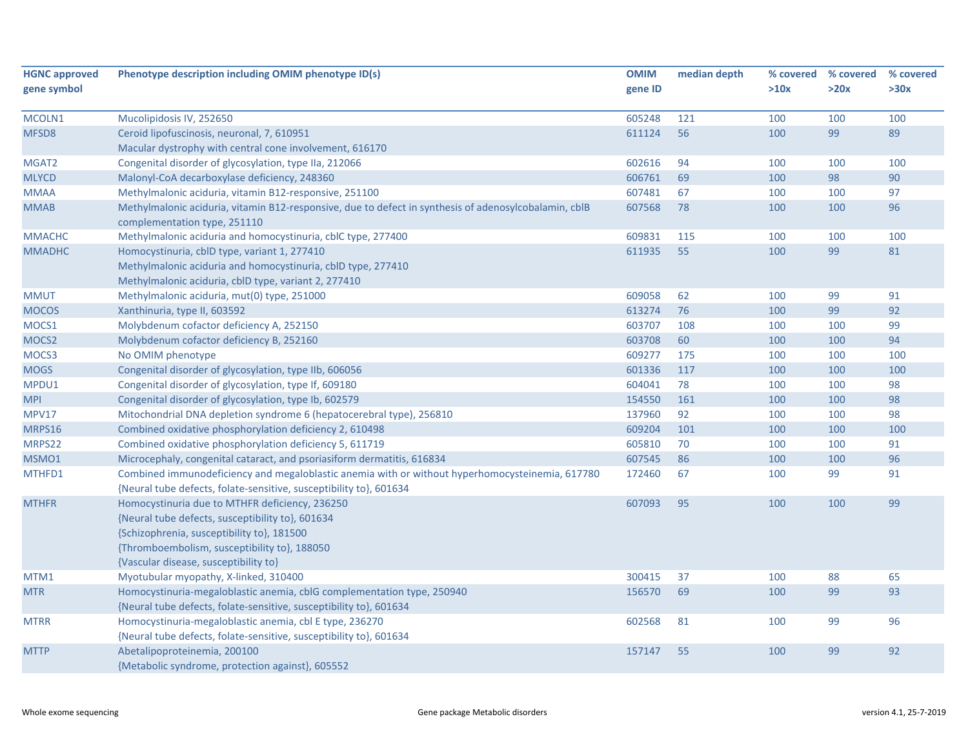| <b>HGNC approved</b> | Phenotype description including OMIM phenotype ID(s)                                                                                                                                                                                      | <b>OMIM</b> | median depth | % covered | % covered | % covered |
|----------------------|-------------------------------------------------------------------------------------------------------------------------------------------------------------------------------------------------------------------------------------------|-------------|--------------|-----------|-----------|-----------|
| gene symbol          |                                                                                                                                                                                                                                           | gene ID     |              | >10x      | >20x      | >30x      |
|                      |                                                                                                                                                                                                                                           |             |              |           |           |           |
| MCOLN1               | Mucolipidosis IV, 252650                                                                                                                                                                                                                  | 605248      | 121          | 100       | 100       | 100       |
| MFSD8                | Ceroid lipofuscinosis, neuronal, 7, 610951                                                                                                                                                                                                | 611124      | 56           | 100       | 99        | 89        |
|                      | Macular dystrophy with central cone involvement, 616170                                                                                                                                                                                   |             |              |           |           |           |
| MGAT <sub>2</sub>    | Congenital disorder of glycosylation, type IIa, 212066                                                                                                                                                                                    | 602616      | 94           | 100       | 100       | 100       |
| <b>MLYCD</b>         | Malonyl-CoA decarboxylase deficiency, 248360                                                                                                                                                                                              | 606761      | 69           | 100       | 98        | 90        |
| <b>MMAA</b>          | Methylmalonic aciduria, vitamin B12-responsive, 251100                                                                                                                                                                                    | 607481      | 67           | 100       | 100       | 97        |
| <b>MMAB</b>          | Methylmalonic aciduria, vitamin B12-responsive, due to defect in synthesis of adenosylcobalamin, cblB<br>complementation type, 251110                                                                                                     | 607568      | 78           | 100       | 100       | 96        |
| <b>MMACHC</b>        | Methylmalonic aciduria and homocystinuria, cblC type, 277400                                                                                                                                                                              | 609831      | 115          | 100       | 100       | 100       |
| <b>MMADHC</b>        | Homocystinuria, cblD type, variant 1, 277410                                                                                                                                                                                              | 611935      | 55           | 100       | 99        | 81        |
|                      | Methylmalonic aciduria and homocystinuria, cblD type, 277410                                                                                                                                                                              |             |              |           |           |           |
|                      | Methylmalonic aciduria, cblD type, variant 2, 277410                                                                                                                                                                                      |             |              |           |           |           |
| <b>MMUT</b>          | Methylmalonic aciduria, mut(0) type, 251000                                                                                                                                                                                               | 609058      | 62           | 100       | 99        | 91        |
| <b>MOCOS</b>         | Xanthinuria, type II, 603592                                                                                                                                                                                                              | 613274      | 76           | 100       | 99        | 92        |
| MOCS1                | Molybdenum cofactor deficiency A, 252150                                                                                                                                                                                                  | 603707      | 108          | 100       | 100       | 99        |
| MOCS <sub>2</sub>    | Molybdenum cofactor deficiency B, 252160                                                                                                                                                                                                  | 603708      | 60           | 100       | 100       | 94        |
| MOCS3                | No OMIM phenotype                                                                                                                                                                                                                         | 609277      | 175          | 100       | 100       | 100       |
| <b>MOGS</b>          | Congenital disorder of glycosylation, type IIb, 606056                                                                                                                                                                                    | 601336      | 117          | 100       | 100       | 100       |
| MPDU1                | Congenital disorder of glycosylation, type If, 609180                                                                                                                                                                                     | 604041      | 78           | 100       | 100       | 98        |
| <b>MPI</b>           | Congenital disorder of glycosylation, type Ib, 602579                                                                                                                                                                                     | 154550      | 161          | 100       | 100       | 98        |
| <b>MPV17</b>         | Mitochondrial DNA depletion syndrome 6 (hepatocerebral type), 256810                                                                                                                                                                      | 137960      | 92           | 100       | 100       | 98        |
| MRPS16               | Combined oxidative phosphorylation deficiency 2, 610498                                                                                                                                                                                   | 609204      | 101          | 100       | 100       | 100       |
| MRPS22               | Combined oxidative phosphorylation deficiency 5, 611719                                                                                                                                                                                   | 605810      | 70           | 100       | 100       | 91        |
| MSMO1                | Microcephaly, congenital cataract, and psoriasiform dermatitis, 616834                                                                                                                                                                    | 607545      | 86           | 100       | 100       | 96        |
| MTHFD1               | Combined immunodeficiency and megaloblastic anemia with or without hyperhomocysteinemia, 617780<br>{Neural tube defects, folate-sensitive, susceptibility to}, 601634                                                                     | 172460      | 67           | 100       | 99        | 91        |
| <b>MTHFR</b>         | Homocystinuria due to MTHFR deficiency, 236250<br>{Neural tube defects, susceptibility to}, 601634<br>{Schizophrenia, susceptibility to}, 181500<br>{Thromboembolism, susceptibility to}, 188050<br>{Vascular disease, susceptibility to} | 607093      | 95           | 100       | 100       | 99        |
| MTM1                 | Myotubular myopathy, X-linked, 310400                                                                                                                                                                                                     | 300415      | 37           | 100       | 88        | 65        |
| <b>MTR</b>           | Homocystinuria-megaloblastic anemia, cblG complementation type, 250940<br>{Neural tube defects, folate-sensitive, susceptibility to}, 601634                                                                                              | 156570      | 69           | 100       | 99        | 93        |
| <b>MTRR</b>          | Homocystinuria-megaloblastic anemia, cbl E type, 236270                                                                                                                                                                                   | 602568      | 81           | 100       | 99        | 96        |
| <b>MTTP</b>          | {Neural tube defects, folate-sensitive, susceptibility to}, 601634<br>Abetalipoproteinemia, 200100<br>{Metabolic syndrome, protection against}, 605552                                                                                    | 157147      | 55           | 100       | 99        | 92        |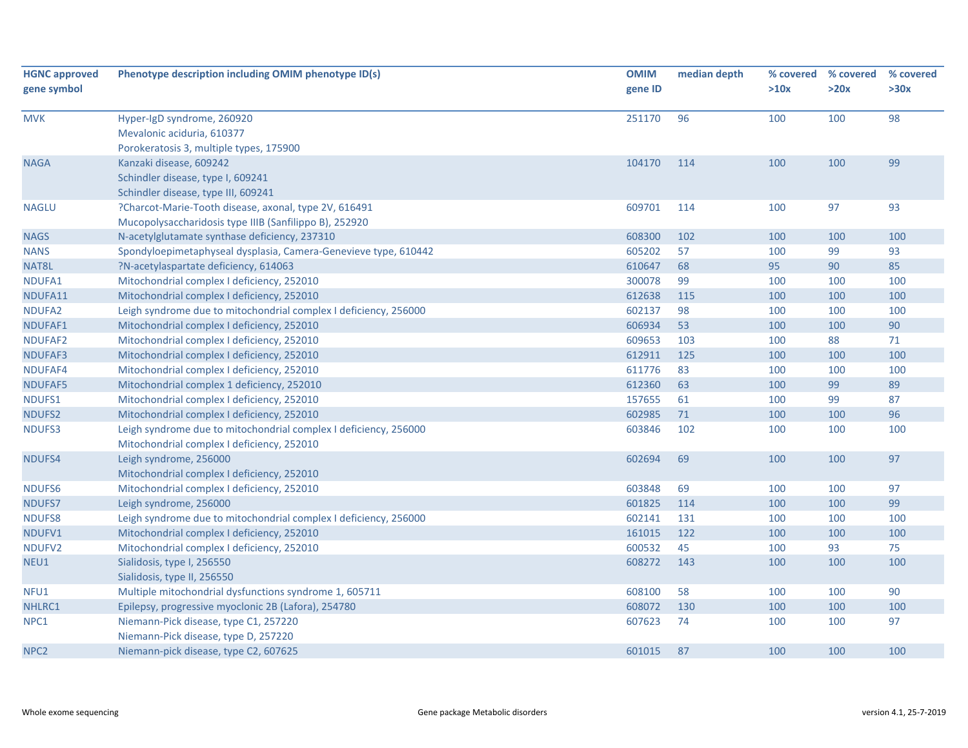| <b>HGNC approved</b><br>gene symbol | Phenotype description including OMIM phenotype ID(s)                                                            | <b>OMIM</b><br>gene ID | median depth | % covered<br>>10x | % covered<br>>20x | % covered<br>>30x |
|-------------------------------------|-----------------------------------------------------------------------------------------------------------------|------------------------|--------------|-------------------|-------------------|-------------------|
| <b>MVK</b>                          | Hyper-IgD syndrome, 260920<br>Mevalonic aciduria, 610377<br>Porokeratosis 3, multiple types, 175900             | 251170                 | 96           | 100               | 100               | 98                |
| <b>NAGA</b>                         | Kanzaki disease, 609242<br>Schindler disease, type I, 609241<br>Schindler disease, type III, 609241             | 104170                 | 114          | 100               | 100               | 99                |
| <b>NAGLU</b>                        | ?Charcot-Marie-Tooth disease, axonal, type 2V, 616491<br>Mucopolysaccharidosis type IIIB (Sanfilippo B), 252920 | 609701                 | 114          | 100               | 97                | 93                |
| <b>NAGS</b>                         | N-acetylglutamate synthase deficiency, 237310                                                                   | 608300                 | 102          | 100               | 100               | 100               |
| <b>NANS</b>                         | Spondyloepimetaphyseal dysplasia, Camera-Genevieve type, 610442                                                 | 605202                 | 57           | 100               | 99                | 93                |
| NAT8L                               | ?N-acetylaspartate deficiency, 614063                                                                           | 610647                 | 68           | 95                | 90                | 85                |
| NDUFA1                              | Mitochondrial complex I deficiency, 252010                                                                      | 300078                 | 99           | 100               | 100               | 100               |
| NDUFA11                             | Mitochondrial complex I deficiency, 252010                                                                      | 612638                 | 115          | 100               | 100               | 100               |
| NDUFA2                              | Leigh syndrome due to mitochondrial complex I deficiency, 256000                                                | 602137                 | 98           | 100               | 100               | 100               |
| NDUFAF1                             | Mitochondrial complex I deficiency, 252010                                                                      | 606934                 | 53           | 100               | 100               | 90                |
| NDUFAF2                             | Mitochondrial complex I deficiency, 252010                                                                      | 609653                 | 103          | 100               | 88                | 71                |
| <b>NDUFAF3</b>                      | Mitochondrial complex I deficiency, 252010                                                                      | 612911                 | 125          | 100               | 100               | 100               |
| NDUFAF4                             | Mitochondrial complex I deficiency, 252010                                                                      | 611776                 | 83           | 100               | 100               | 100               |
| NDUFAF5                             | Mitochondrial complex 1 deficiency, 252010                                                                      | 612360                 | 63           | 100               | 99                | 89                |
| NDUFS1                              | Mitochondrial complex I deficiency, 252010                                                                      | 157655                 | 61           | 100               | 99                | 87                |
| <b>NDUFS2</b>                       | Mitochondrial complex I deficiency, 252010                                                                      | 602985                 | 71           | 100               | 100               | 96                |
| NDUFS3                              | Leigh syndrome due to mitochondrial complex I deficiency, 256000<br>Mitochondrial complex I deficiency, 252010  | 603846                 | 102          | 100               | 100               | 100               |
| NDUFS4                              | Leigh syndrome, 256000<br>Mitochondrial complex I deficiency, 252010                                            | 602694                 | 69           | 100               | 100               | 97                |
| <b>NDUFS6</b>                       | Mitochondrial complex I deficiency, 252010                                                                      | 603848                 | 69           | 100               | 100               | 97                |
| <b>NDUFS7</b>                       | Leigh syndrome, 256000                                                                                          | 601825                 | 114          | 100               | 100               | 99                |
| <b>NDUFS8</b>                       | Leigh syndrome due to mitochondrial complex I deficiency, 256000                                                | 602141                 | 131          | 100               | 100               | 100               |
| NDUFV1                              | Mitochondrial complex I deficiency, 252010                                                                      | 161015                 | 122          | 100               | 100               | 100               |
| NDUFV2                              | Mitochondrial complex I deficiency, 252010                                                                      | 600532                 | 45           | 100               | 93                | 75                |
| NEU1                                | Sialidosis, type I, 256550<br>Sialidosis, type II, 256550                                                       | 608272                 | 143          | 100               | 100               | 100               |
| NFU1                                | Multiple mitochondrial dysfunctions syndrome 1, 605711                                                          | 608100                 | 58           | 100               | 100               | 90                |
| NHLRC1                              | Epilepsy, progressive myoclonic 2B (Lafora), 254780                                                             | 608072                 | 130          | 100               | 100               | 100               |
| NPC1                                | Niemann-Pick disease, type C1, 257220<br>Niemann-Pick disease, type D, 257220                                   | 607623                 | 74           | 100               | 100               | 97                |
| NPC <sub>2</sub>                    | Niemann-pick disease, type C2, 607625                                                                           | 601015                 | 87           | 100               | 100               | 100               |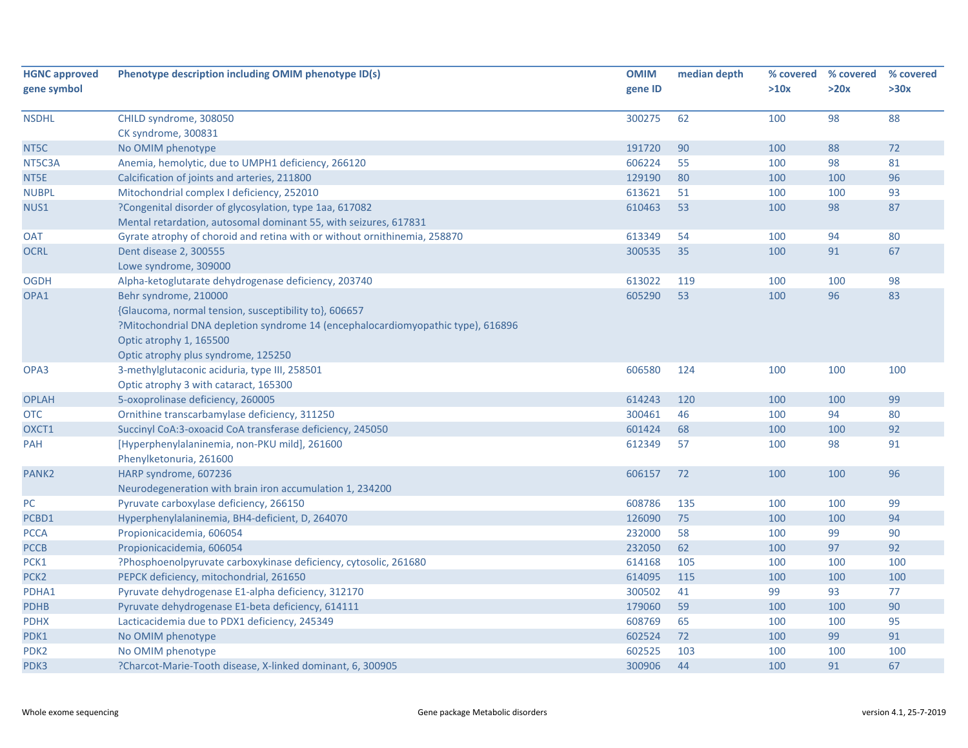| <b>HGNC approved</b> | Phenotype description including OMIM phenotype ID(s)                             | <b>OMIM</b> | median depth | % covered | % covered | % covered |
|----------------------|----------------------------------------------------------------------------------|-------------|--------------|-----------|-----------|-----------|
| gene symbol          |                                                                                  | gene ID     |              | >10x      | >20x      | >30x      |
| <b>NSDHL</b>         | CHILD syndrome, 308050                                                           | 300275      | 62           | 100       | 98        | 88        |
|                      | CK syndrome, 300831                                                              |             |              |           |           |           |
| NT5C                 | No OMIM phenotype                                                                | 191720      | 90           | 100       | 88        | 72        |
| NT5C3A               | Anemia, hemolytic, due to UMPH1 deficiency, 266120                               | 606224      | 55           | 100       | 98        | 81        |
| NT5E                 | Calcification of joints and arteries, 211800                                     | 129190      | 80           | 100       | 100       | 96        |
| <b>NUBPL</b>         | Mitochondrial complex I deficiency, 252010                                       | 613621      | 51           | 100       | 100       | 93        |
| NUS1                 | ?Congenital disorder of glycosylation, type 1aa, 617082                          | 610463      | 53           | 100       | 98        | 87        |
|                      | Mental retardation, autosomal dominant 55, with seizures, 617831                 |             |              |           |           |           |
| <b>OAT</b>           | Gyrate atrophy of choroid and retina with or without ornithinemia, 258870        | 613349      | 54           | 100       | 94        | 80        |
| <b>OCRL</b>          | Dent disease 2, 300555                                                           | 300535      | 35           | 100       | 91        | 67        |
|                      | Lowe syndrome, 309000                                                            |             |              |           |           |           |
| <b>OGDH</b>          | Alpha-ketoglutarate dehydrogenase deficiency, 203740                             | 613022      | 119          | 100       | 100       | 98        |
| OPA1                 | Behr syndrome, 210000                                                            | 605290      | 53           | 100       | 96        | 83        |
|                      | {Glaucoma, normal tension, susceptibility to}, 606657                            |             |              |           |           |           |
|                      | ?Mitochondrial DNA depletion syndrome 14 (encephalocardiomyopathic type), 616896 |             |              |           |           |           |
|                      | Optic atrophy 1, 165500                                                          |             |              |           |           |           |
|                      | Optic atrophy plus syndrome, 125250                                              |             |              |           |           |           |
| OPA3                 | 3-methylglutaconic aciduria, type III, 258501                                    | 606580      | 124          | 100       | 100       | 100       |
|                      | Optic atrophy 3 with cataract, 165300                                            |             |              |           |           |           |
| <b>OPLAH</b>         | 5-oxoprolinase deficiency, 260005                                                | 614243      | 120          | 100       | 100       | 99        |
| <b>OTC</b>           | Ornithine transcarbamylase deficiency, 311250                                    | 300461      | 46           | 100       | 94        | 80        |
| OXCT1                | Succinyl CoA:3-oxoacid CoA transferase deficiency, 245050                        | 601424      | 68           | 100       | 100       | 92        |
| <b>PAH</b>           | [Hyperphenylalaninemia, non-PKU mild], 261600                                    | 612349      | 57           | 100       | 98        | 91        |
|                      | Phenylketonuria, 261600                                                          |             |              |           |           |           |
| PANK <sub>2</sub>    | HARP syndrome, 607236                                                            | 606157      | 72           | 100       | 100       | 96        |
|                      | Neurodegeneration with brain iron accumulation 1, 234200                         |             |              |           |           |           |
| PC                   | Pyruvate carboxylase deficiency, 266150                                          | 608786      | 135          | 100       | 100       | 99        |
| PCBD1                | Hyperphenylalaninemia, BH4-deficient, D, 264070                                  | 126090      | 75           | 100       | 100       | 94        |
| <b>PCCA</b>          | Propionicacidemia, 606054                                                        | 232000      | 58           | 100       | 99        | 90        |
| <b>PCCB</b>          | Propionicacidemia, 606054                                                        | 232050      | 62           | 100       | 97        | 92        |
| PCK1                 | ?Phosphoenolpyruvate carboxykinase deficiency, cytosolic, 261680                 | 614168      | 105          | 100       | 100       | 100       |
| PCK <sub>2</sub>     | PEPCK deficiency, mitochondrial, 261650                                          | 614095      | 115          | 100       | 100       | 100       |
| PDHA1                | Pyruvate dehydrogenase E1-alpha deficiency, 312170                               | 300502      | 41           | 99        | 93        | 77        |
| <b>PDHB</b>          | Pyruvate dehydrogenase E1-beta deficiency, 614111                                | 179060      | 59           | 100       | 100       | 90        |
| <b>PDHX</b>          | Lacticacidemia due to PDX1 deficiency, 245349                                    | 608769      | 65           | 100       | 100       | 95        |
| PDK1                 | No OMIM phenotype                                                                | 602524      | 72           | 100       | 99        | 91        |
| PDK <sub>2</sub>     | No OMIM phenotype                                                                | 602525      | 103          | 100       | 100       | 100       |
| PDK3                 | ?Charcot-Marie-Tooth disease, X-linked dominant, 6, 300905                       | 300906      | 44           | 100       | 91        | 67        |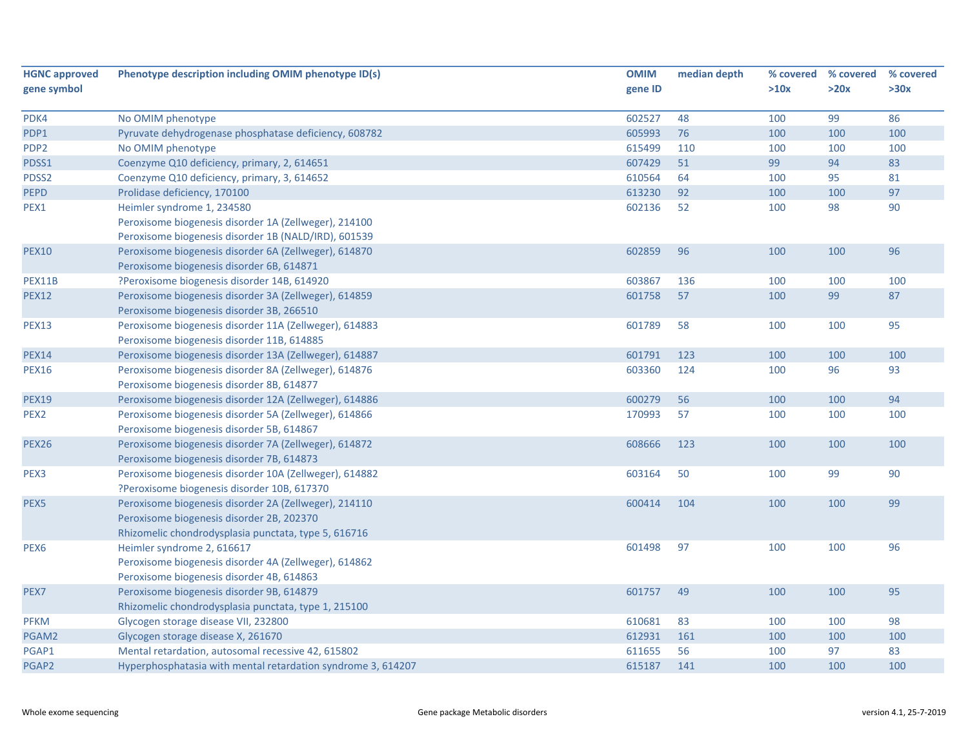| <b>HGNC approved</b> | Phenotype description including OMIM phenotype ID(s)         | <b>OMIM</b> | median depth |      | % covered % covered | % covered |
|----------------------|--------------------------------------------------------------|-------------|--------------|------|---------------------|-----------|
| gene symbol          |                                                              | gene ID     |              | >10x | >20x                | >30x      |
|                      |                                                              |             |              |      |                     |           |
| PDK4                 | No OMIM phenotype                                            | 602527      | 48           | 100  | 99                  | 86        |
| PDP1                 | Pyruvate dehydrogenase phosphatase deficiency, 608782        | 605993      | 76           | 100  | 100                 | 100       |
| PDP <sub>2</sub>     | No OMIM phenotype                                            | 615499      | 110          | 100  | 100                 | 100       |
| PDSS1                | Coenzyme Q10 deficiency, primary, 2, 614651                  | 607429      | 51           | 99   | 94                  | 83        |
| PDSS2                | Coenzyme Q10 deficiency, primary, 3, 614652                  | 610564      | 64           | 100  | 95                  | 81        |
| <b>PEPD</b>          | Prolidase deficiency, 170100                                 | 613230      | 92           | 100  | 100                 | 97        |
| PEX1                 | Heimler syndrome 1, 234580                                   | 602136      | 52           | 100  | 98                  | 90        |
|                      | Peroxisome biogenesis disorder 1A (Zellweger), 214100        |             |              |      |                     |           |
|                      | Peroxisome biogenesis disorder 1B (NALD/IRD), 601539         |             |              |      |                     |           |
| <b>PEX10</b>         | Peroxisome biogenesis disorder 6A (Zellweger), 614870        | 602859      | 96           | 100  | 100                 | 96        |
|                      | Peroxisome biogenesis disorder 6B, 614871                    |             |              |      |                     |           |
| PEX11B               | ?Peroxisome biogenesis disorder 14B, 614920                  | 603867      | 136          | 100  | 100                 | 100       |
| <b>PEX12</b>         | Peroxisome biogenesis disorder 3A (Zellweger), 614859        | 601758      | 57           | 100  | 99                  | 87        |
|                      | Peroxisome biogenesis disorder 3B, 266510                    |             |              |      |                     |           |
| <b>PEX13</b>         | Peroxisome biogenesis disorder 11A (Zellweger), 614883       | 601789      | 58           | 100  | 100                 | 95        |
|                      | Peroxisome biogenesis disorder 11B, 614885                   |             |              |      |                     |           |
| <b>PEX14</b>         | Peroxisome biogenesis disorder 13A (Zellweger), 614887       | 601791      | 123          | 100  | 100                 | 100       |
| <b>PEX16</b>         | Peroxisome biogenesis disorder 8A (Zellweger), 614876        | 603360      | 124          | 100  | 96                  | 93        |
|                      | Peroxisome biogenesis disorder 8B, 614877                    |             |              |      |                     |           |
| <b>PEX19</b>         | Peroxisome biogenesis disorder 12A (Zellweger), 614886       | 600279      | 56           | 100  | 100                 | 94        |
| PEX <sub>2</sub>     | Peroxisome biogenesis disorder 5A (Zellweger), 614866        | 170993      | 57           | 100  | 100                 | 100       |
|                      | Peroxisome biogenesis disorder 5B, 614867                    |             |              |      |                     |           |
| <b>PEX26</b>         | Peroxisome biogenesis disorder 7A (Zellweger), 614872        | 608666      | 123          | 100  | 100                 | 100       |
|                      | Peroxisome biogenesis disorder 7B, 614873                    |             |              |      |                     |           |
| PEX3                 | Peroxisome biogenesis disorder 10A (Zellweger), 614882       | 603164      | 50           | 100  | 99                  | 90        |
|                      | ?Peroxisome biogenesis disorder 10B, 617370                  |             |              |      |                     |           |
| PEX <sub>5</sub>     | Peroxisome biogenesis disorder 2A (Zellweger), 214110        | 600414      | 104          | 100  | 100                 | 99        |
|                      | Peroxisome biogenesis disorder 2B, 202370                    |             |              |      |                     |           |
|                      | Rhizomelic chondrodysplasia punctata, type 5, 616716         |             |              |      |                     |           |
| PEX <sub>6</sub>     | Heimler syndrome 2, 616617                                   | 601498      | 97           | 100  | 100                 | 96        |
|                      | Peroxisome biogenesis disorder 4A (Zellweger), 614862        |             |              |      |                     |           |
|                      | Peroxisome biogenesis disorder 4B, 614863                    |             |              |      |                     |           |
| PEX7                 | Peroxisome biogenesis disorder 9B, 614879                    | 601757      | 49           | 100  | 100                 | 95        |
|                      | Rhizomelic chondrodysplasia punctata, type 1, 215100         |             |              |      |                     |           |
| <b>PFKM</b>          | Glycogen storage disease VII, 232800                         | 610681      | 83           | 100  | 100                 | 98        |
| PGAM2                | Glycogen storage disease X, 261670                           | 612931      | 161          | 100  | 100                 | 100       |
| PGAP1                | Mental retardation, autosomal recessive 42, 615802           | 611655      | 56           | 100  | 97                  | 83        |
| PGAP2                | Hyperphosphatasia with mental retardation syndrome 3, 614207 | 615187      | 141          | 100  | 100                 | 100       |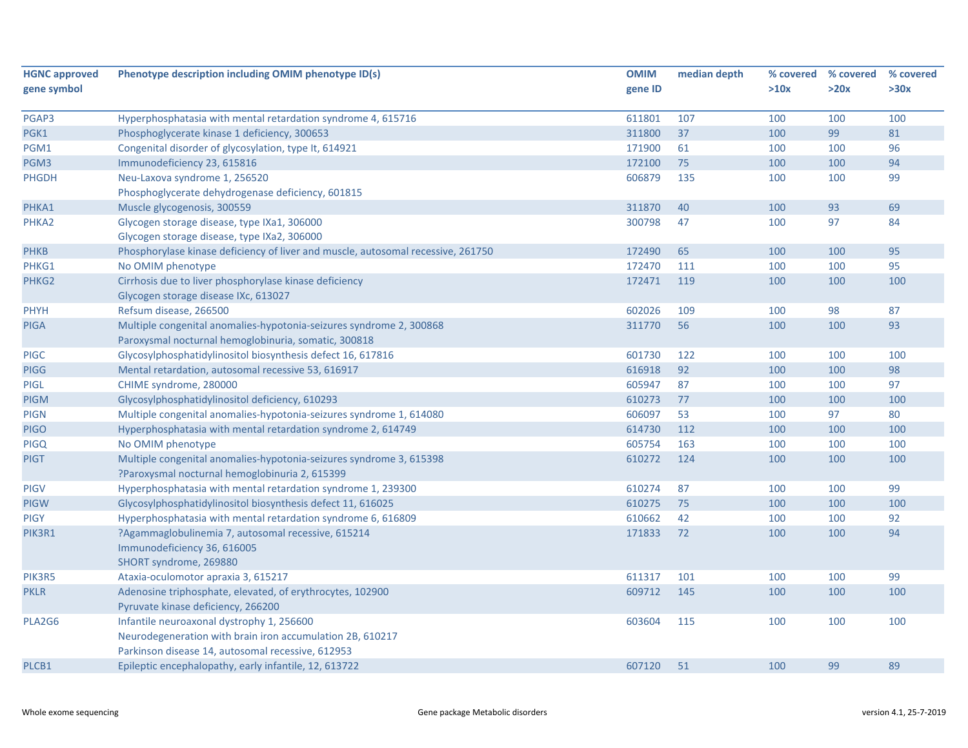| <b>HGNC approved</b> | Phenotype description including OMIM phenotype ID(s)                             | <b>OMIM</b> | median depth |      | % covered % covered | % covered |
|----------------------|----------------------------------------------------------------------------------|-------------|--------------|------|---------------------|-----------|
| gene symbol          |                                                                                  | gene ID     |              | >10x | >20x                | >30x      |
|                      |                                                                                  |             |              |      |                     |           |
| PGAP3                | Hyperphosphatasia with mental retardation syndrome 4, 615716                     | 611801      | 107          | 100  | 100                 | 100       |
| PGK1                 | Phosphoglycerate kinase 1 deficiency, 300653                                     | 311800      | 37           | 100  | 99                  | 81        |
| PGM1                 | Congenital disorder of glycosylation, type It, 614921                            | 171900      | 61           | 100  | 100                 | 96        |
| PGM3                 | Immunodeficiency 23, 615816                                                      | 172100      | 75           | 100  | 100                 | 94        |
| <b>PHGDH</b>         | Neu-Laxova syndrome 1, 256520                                                    | 606879      | 135          | 100  | 100                 | 99        |
|                      | Phosphoglycerate dehydrogenase deficiency, 601815                                |             |              |      |                     |           |
| PHKA1                | Muscle glycogenosis, 300559                                                      | 311870      | 40           | 100  | 93                  | 69        |
| PHKA2                | Glycogen storage disease, type IXa1, 306000                                      | 300798      | 47           | 100  | 97                  | 84        |
|                      | Glycogen storage disease, type IXa2, 306000                                      |             |              |      |                     |           |
| <b>PHKB</b>          | Phosphorylase kinase deficiency of liver and muscle, autosomal recessive, 261750 | 172490      | 65           | 100  | 100                 | 95        |
| PHKG1                | No OMIM phenotype                                                                | 172470      | 111          | 100  | 100                 | 95        |
| PHKG2                | Cirrhosis due to liver phosphorylase kinase deficiency                           | 172471      | 119          | 100  | 100                 | 100       |
|                      | Glycogen storage disease IXc, 613027                                             |             |              |      |                     |           |
| PHYH                 | Refsum disease, 266500                                                           | 602026      | 109          | 100  | 98                  | 87        |
| <b>PIGA</b>          | Multiple congenital anomalies-hypotonia-seizures syndrome 2, 300868              | 311770      | 56           | 100  | 100                 | 93        |
|                      | Paroxysmal nocturnal hemoglobinuria, somatic, 300818                             |             |              |      |                     |           |
| <b>PIGC</b>          | Glycosylphosphatidylinositol biosynthesis defect 16, 617816                      | 601730      | 122          | 100  | 100                 | 100       |
| <b>PIGG</b>          | Mental retardation, autosomal recessive 53, 616917                               | 616918      | 92           | 100  | 100                 | 98        |
| <b>PIGL</b>          | CHIME syndrome, 280000                                                           | 605947      | 87           | 100  | 100                 | 97        |
| <b>PIGM</b>          | Glycosylphosphatidylinositol deficiency, 610293                                  | 610273      | 77           | 100  | 100                 | 100       |
| <b>PIGN</b>          | Multiple congenital anomalies-hypotonia-seizures syndrome 1, 614080              | 606097      | 53           | 100  | 97                  | 80        |
| <b>PIGO</b>          | Hyperphosphatasia with mental retardation syndrome 2, 614749                     | 614730      | 112          | 100  | 100                 | 100       |
| <b>PIGQ</b>          | No OMIM phenotype                                                                | 605754      | 163          | 100  | 100                 | 100       |
| <b>PIGT</b>          | Multiple congenital anomalies-hypotonia-seizures syndrome 3, 615398              | 610272      | 124          | 100  | 100                 | 100       |
|                      | ?Paroxysmal nocturnal hemoglobinuria 2, 615399                                   |             |              |      |                     |           |
| <b>PIGV</b>          | Hyperphosphatasia with mental retardation syndrome 1, 239300                     | 610274      | 87           | 100  | 100                 | 99        |
| <b>PIGW</b>          | Glycosylphosphatidylinositol biosynthesis defect 11, 616025                      | 610275      | 75           | 100  | 100                 | 100       |
| <b>PIGY</b>          | Hyperphosphatasia with mental retardation syndrome 6, 616809                     | 610662      | 42           | 100  | 100                 | 92        |
| PIK3R1               | ?Agammaglobulinemia 7, autosomal recessive, 615214                               | 171833      | 72           | 100  | 100                 | 94        |
|                      | Immunodeficiency 36, 616005                                                      |             |              |      |                     |           |
|                      | SHORT syndrome, 269880                                                           |             |              |      |                     |           |
| PIK3R5               | Ataxia-oculomotor apraxia 3, 615217                                              | 611317      | 101          | 100  | 100                 | 99        |
| <b>PKLR</b>          | Adenosine triphosphate, elevated, of erythrocytes, 102900                        | 609712      | 145          | 100  | 100                 | 100       |
|                      | Pyruvate kinase deficiency, 266200                                               |             |              |      |                     |           |
| PLA2G6               | Infantile neuroaxonal dystrophy 1, 256600                                        | 603604      | 115          | 100  | 100                 | 100       |
|                      | Neurodegeneration with brain iron accumulation 2B, 610217                        |             |              |      |                     |           |
|                      | Parkinson disease 14, autosomal recessive, 612953                                |             |              |      |                     |           |
| PLCB1                | Epileptic encephalopathy, early infantile, 12, 613722                            | 607120      | 51           | 100  | 99                  | 89        |
|                      |                                                                                  |             |              |      |                     |           |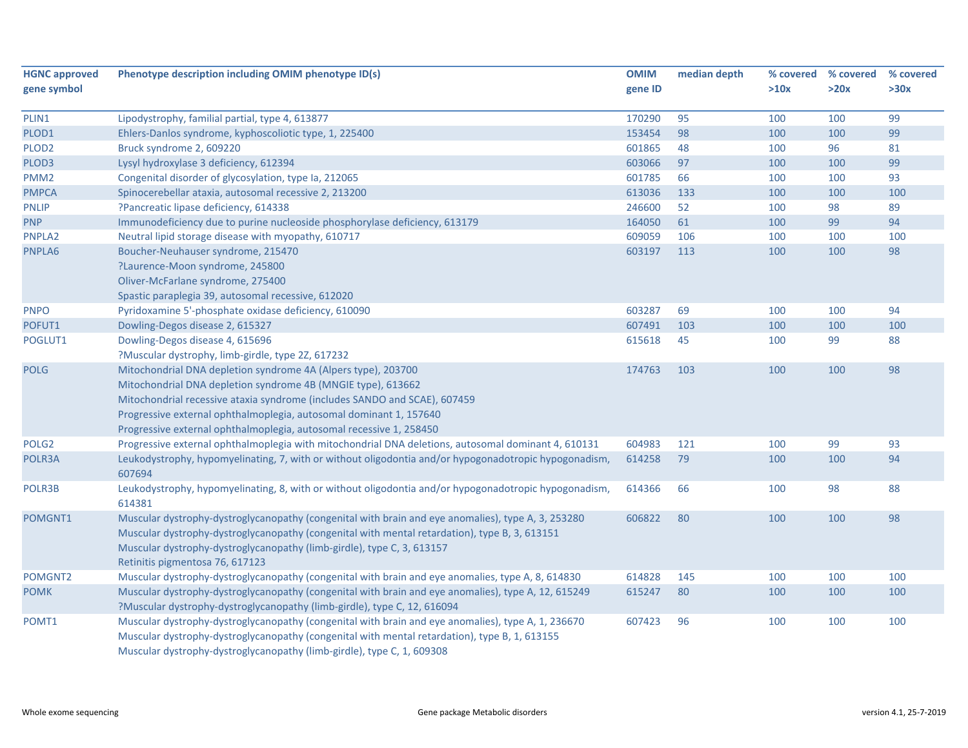| <b>HGNC approved</b> | Phenotype description including OMIM phenotype ID(s)                                                  | <b>OMIM</b> | median depth |      | % covered % covered | % covered |
|----------------------|-------------------------------------------------------------------------------------------------------|-------------|--------------|------|---------------------|-----------|
| gene symbol          |                                                                                                       | gene ID     |              | >10x | >20x                | >30x      |
|                      |                                                                                                       |             |              |      |                     |           |
| PLIN1                | Lipodystrophy, familial partial, type 4, 613877                                                       | 170290      | 95           | 100  | 100                 | 99        |
| PLOD1                | Ehlers-Danlos syndrome, kyphoscoliotic type, 1, 225400                                                | 153454      | 98           | 100  | 100                 | 99        |
| PLOD <sub>2</sub>    | Bruck syndrome 2, 609220                                                                              | 601865      | 48           | 100  | 96                  | 81        |
| PLOD3                | Lysyl hydroxylase 3 deficiency, 612394                                                                | 603066      | 97           | 100  | 100                 | 99        |
| PMM <sub>2</sub>     | Congenital disorder of glycosylation, type Ia, 212065                                                 | 601785      | 66           | 100  | 100                 | 93        |
| <b>PMPCA</b>         | Spinocerebellar ataxia, autosomal recessive 2, 213200                                                 | 613036      | 133          | 100  | 100                 | 100       |
| <b>PNLIP</b>         | ?Pancreatic lipase deficiency, 614338                                                                 | 246600      | 52           | 100  | 98                  | 89        |
| <b>PNP</b>           | Immunodeficiency due to purine nucleoside phosphorylase deficiency, 613179                            | 164050      | 61           | 100  | 99                  | 94        |
| PNPLA2               | Neutral lipid storage disease with myopathy, 610717                                                   | 609059      | 106          | 100  | 100                 | 100       |
| PNPLA6               | Boucher-Neuhauser syndrome, 215470                                                                    | 603197      | 113          | 100  | 100                 | 98        |
|                      | ?Laurence-Moon syndrome, 245800                                                                       |             |              |      |                     |           |
|                      | Oliver-McFarlane syndrome, 275400                                                                     |             |              |      |                     |           |
|                      | Spastic paraplegia 39, autosomal recessive, 612020                                                    |             |              |      |                     |           |
| <b>PNPO</b>          | Pyridoxamine 5'-phosphate oxidase deficiency, 610090                                                  | 603287      | 69           | 100  | 100                 | 94        |
| POFUT1               | Dowling-Degos disease 2, 615327                                                                       | 607491      | 103          | 100  | 100                 | 100       |
| POGLUT1              | Dowling-Degos disease 4, 615696                                                                       | 615618      | 45           | 100  | 99                  | 88        |
|                      | ?Muscular dystrophy, limb-girdle, type 2Z, 617232                                                     |             |              |      |                     |           |
| <b>POLG</b>          | Mitochondrial DNA depletion syndrome 4A (Alpers type), 203700                                         | 174763      | 103          | 100  | 100                 | 98        |
|                      | Mitochondrial DNA depletion syndrome 4B (MNGIE type), 613662                                          |             |              |      |                     |           |
|                      | Mitochondrial recessive ataxia syndrome (includes SANDO and SCAE), 607459                             |             |              |      |                     |           |
|                      | Progressive external ophthalmoplegia, autosomal dominant 1, 157640                                    |             |              |      |                     |           |
|                      | Progressive external ophthalmoplegia, autosomal recessive 1, 258450                                   |             |              |      |                     |           |
| POLG <sub>2</sub>    | Progressive external ophthalmoplegia with mitochondrial DNA deletions, autosomal dominant 4, 610131   | 604983      | 121          | 100  | 99                  | 93        |
| POLR3A               | Leukodystrophy, hypomyelinating, 7, with or without oligodontia and/or hypogonadotropic hypogonadism, | 614258      | 79           | 100  | 100                 | 94        |
|                      | 607694                                                                                                |             |              |      |                     |           |
| POLR3B               | Leukodystrophy, hypomyelinating, 8, with or without oligodontia and/or hypogonadotropic hypogonadism, | 614366      | 66           | 100  | 98                  | 88        |
|                      | 614381                                                                                                |             |              |      |                     |           |
| POMGNT1              | Muscular dystrophy-dystroglycanopathy (congenital with brain and eye anomalies), type A, 3, 253280    | 606822      | 80           | 100  | 100                 | 98        |
|                      | Muscular dystrophy-dystroglycanopathy (congenital with mental retardation), type B, 3, 613151         |             |              |      |                     |           |
|                      | Muscular dystrophy-dystroglycanopathy (limb-girdle), type C, 3, 613157                                |             |              |      |                     |           |
|                      | Retinitis pigmentosa 76, 617123                                                                       |             |              |      |                     |           |
| POMGNT2              | Muscular dystrophy-dystroglycanopathy (congenital with brain and eye anomalies, type A, 8, 614830     | 614828      | 145          | 100  | 100                 | 100       |
| <b>POMK</b>          | Muscular dystrophy-dystroglycanopathy (congenital with brain and eye anomalies), type A, 12, 615249   | 615247      | 80           | 100  | 100                 | 100       |
|                      | ?Muscular dystrophy-dystroglycanopathy (limb-girdle), type C, 12, 616094                              |             |              |      |                     |           |
| POMT1                | Muscular dystrophy-dystroglycanopathy (congenital with brain and eye anomalies), type A, 1, 236670    | 607423      | 96           | 100  | 100                 | 100       |
|                      | Muscular dystrophy-dystroglycanopathy (congenital with mental retardation), type B, 1, 613155         |             |              |      |                     |           |
|                      |                                                                                                       |             |              |      |                     |           |
|                      | Muscular dystrophy-dystroglycanopathy (limb-girdle), type C, 1, 609308                                |             |              |      |                     |           |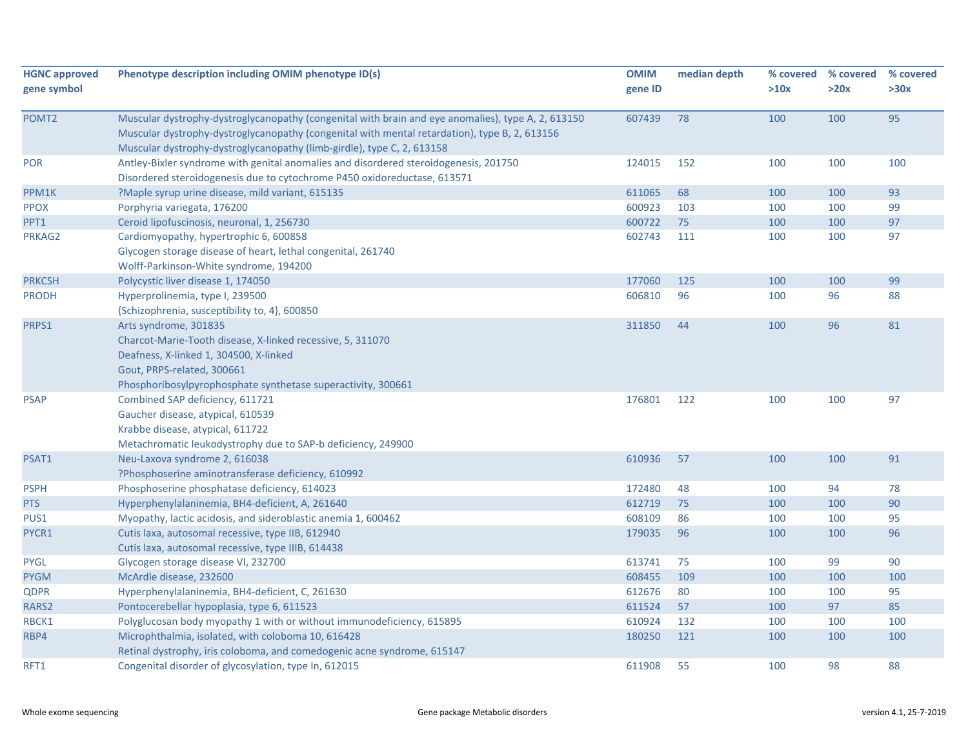| <b>HGNC approved</b> | Phenotype description including OMIM phenotype ID(s)                                               | <b>OMIM</b> | median depth | % covered | % covered | % covered |
|----------------------|----------------------------------------------------------------------------------------------------|-------------|--------------|-----------|-----------|-----------|
| gene symbol          |                                                                                                    | gene ID     |              | >10x      | >20x      | >30x      |
| POMT <sub>2</sub>    | Muscular dystrophy-dystroglycanopathy (congenital with brain and eye anomalies), type A, 2, 613150 | 607439      | 78           | 100       | 100       | 95        |
|                      | Muscular dystrophy-dystroglycanopathy (congenital with mental retardation), type B, 2, 613156      |             |              |           |           |           |
|                      | Muscular dystrophy-dystroglycanopathy (limb-girdle), type C, 2, 613158                             |             |              |           |           |           |
| <b>POR</b>           | Antley-Bixler syndrome with genital anomalies and disordered steroidogenesis, 201750               | 124015      | 152          | 100       | 100       | 100       |
|                      | Disordered steroidogenesis due to cytochrome P450 oxidoreductase, 613571                           |             |              |           |           |           |
| PPM1K                | ?Maple syrup urine disease, mild variant, 615135                                                   | 611065      | 68           | 100       | 100       | 93        |
| <b>PPOX</b>          | Porphyria variegata, 176200                                                                        | 600923      | 103          | 100       | 100       | 99        |
| PPT1                 | Ceroid lipofuscinosis, neuronal, 1, 256730                                                         | 600722      | 75           | 100       | 100       | 97        |
| PRKAG2               | Cardiomyopathy, hypertrophic 6, 600858                                                             | 602743      | 111          | 100       | 100       | 97        |
|                      | Glycogen storage disease of heart, lethal congenital, 261740                                       |             |              |           |           |           |
|                      | Wolff-Parkinson-White syndrome, 194200                                                             |             |              |           |           |           |
| <b>PRKCSH</b>        | Polycystic liver disease 1, 174050                                                                 | 177060      | 125          | 100       | 100       | 99        |
| <b>PRODH</b>         | Hyperprolinemia, type I, 239500                                                                    | 606810      | 96           | 100       | 96        | 88        |
|                      | {Schizophrenia, susceptibility to, 4}, 600850                                                      |             |              |           |           |           |
| PRPS1                | Arts syndrome, 301835                                                                              | 311850      | 44           | 100       | 96        | 81        |
|                      | Charcot-Marie-Tooth disease, X-linked recessive, 5, 311070                                         |             |              |           |           |           |
|                      | Deafness, X-linked 1, 304500, X-linked                                                             |             |              |           |           |           |
|                      | Gout, PRPS-related, 300661                                                                         |             |              |           |           |           |
|                      | Phosphoribosylpyrophosphate synthetase superactivity, 300661                                       |             |              |           |           |           |
| <b>PSAP</b>          | Combined SAP deficiency, 611721                                                                    | 176801      | 122          | 100       | 100       | 97        |
|                      | Gaucher disease, atypical, 610539                                                                  |             |              |           |           |           |
|                      | Krabbe disease, atypical, 611722                                                                   |             |              |           |           |           |
|                      | Metachromatic leukodystrophy due to SAP-b deficiency, 249900                                       |             |              |           |           |           |
| PSAT1                | Neu-Laxova syndrome 2, 616038                                                                      | 610936      | 57           | 100       | 100       | 91        |
|                      | ?Phosphoserine aminotransferase deficiency, 610992                                                 |             |              |           |           |           |
| <b>PSPH</b>          | Phosphoserine phosphatase deficiency, 614023                                                       | 172480      | 48           | 100       | 94        | 78        |
| <b>PTS</b>           | Hyperphenylalaninemia, BH4-deficient, A, 261640                                                    | 612719      | 75           | 100       | 100       | 90        |
| PUS1                 | Myopathy, lactic acidosis, and sideroblastic anemia 1, 600462                                      | 608109      | 86           | 100       | 100       | 95        |
| PYCR1                | Cutis laxa, autosomal recessive, type IIB, 612940                                                  | 179035      | 96           | 100       | 100       | 96        |
|                      | Cutis laxa, autosomal recessive, type IIIB, 614438                                                 |             |              |           |           |           |
| <b>PYGL</b>          | Glycogen storage disease VI, 232700                                                                | 613741      | 75           | 100       | 99        | 90        |
| <b>PYGM</b>          | McArdle disease, 232600                                                                            | 608455      | 109          | 100       | 100       | 100       |
| <b>QDPR</b>          | Hyperphenylalaninemia, BH4-deficient, C, 261630                                                    | 612676      | 80           | 100       | 100       | 95        |
| RARS2                | Pontocerebellar hypoplasia, type 6, 611523                                                         | 611524      | 57           | 100       | 97        | 85        |
| RBCK1                | Polyglucosan body myopathy 1 with or without immunodeficiency, 615895                              | 610924      | 132          | 100       | 100       | 100       |
| RBP4                 | Microphthalmia, isolated, with coloboma 10, 616428                                                 | 180250      | 121          | 100       | 100       | 100       |
|                      | Retinal dystrophy, iris coloboma, and comedogenic acne syndrome, 615147                            |             |              |           |           |           |
| RFT1                 | Congenital disorder of glycosylation, type In, 612015                                              | 611908      | 55           | 100       | 98        | 88        |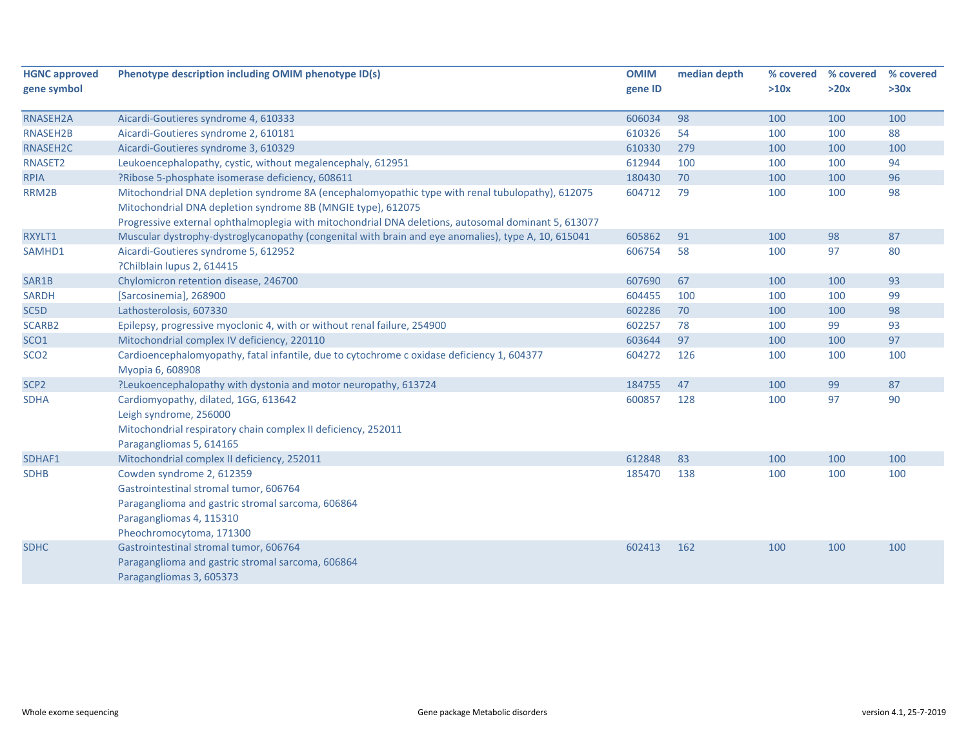| <b>HGNC approved</b> | Phenotype description including OMIM phenotype ID(s)                                                | <b>OMIM</b> | median depth | % covered | % covered | % covered |
|----------------------|-----------------------------------------------------------------------------------------------------|-------------|--------------|-----------|-----------|-----------|
| gene symbol          |                                                                                                     | gene ID     |              | >10x      | >20x      | >30x      |
| RNASEH2A             | Aicardi-Goutieres syndrome 4, 610333                                                                | 606034      | 98           | 100       | 100       | 100       |
| RNASEH2B             | Aicardi-Goutieres syndrome 2, 610181                                                                | 610326      | 54           | 100       | 100       | 88        |
| RNASEH2C             | Aicardi-Goutieres syndrome 3, 610329                                                                | 610330      | 279          | 100       | 100       | 100       |
| RNASET2              | Leukoencephalopathy, cystic, without megalencephaly, 612951                                         | 612944      | 100          | 100       | 100       | 94        |
| <b>RPIA</b>          | ?Ribose 5-phosphate isomerase deficiency, 608611                                                    | 180430      | 70           | 100       | 100       | 96        |
| RRM2B                | Mitochondrial DNA depletion syndrome 8A (encephalomyopathic type with renal tubulopathy), 612075    | 604712      | 79           | 100       | 100       | 98        |
|                      | Mitochondrial DNA depletion syndrome 8B (MNGIE type), 612075                                        |             |              |           |           |           |
|                      | Progressive external ophthalmoplegia with mitochondrial DNA deletions, autosomal dominant 5, 613077 |             |              |           |           |           |
| RXYLT1               | Muscular dystrophy-dystroglycanopathy (congenital with brain and eye anomalies), type A, 10, 615041 | 605862      | 91           | 100       | 98        | 87        |
| SAMHD1               | Aicardi-Goutieres syndrome 5, 612952                                                                | 606754      | 58           | 100       | 97        | 80        |
|                      | ?Chilblain lupus 2, 614415                                                                          |             |              |           |           |           |
| SAR1B                | Chylomicron retention disease, 246700                                                               | 607690      | 67           | 100       | 100       | 93        |
| <b>SARDH</b>         | [Sarcosinemia], 268900                                                                              | 604455      | 100          | 100       | 100       | 99        |
| SC5D                 | Lathosterolosis, 607330                                                                             | 602286      | 70           | 100       | 100       | 98        |
| SCARB2               | Epilepsy, progressive myoclonic 4, with or without renal failure, 254900                            | 602257      | 78           | 100       | 99        | 93        |
| SCO <sub>1</sub>     | Mitochondrial complex IV deficiency, 220110                                                         | 603644      | 97           | 100       | 100       | 97        |
| SCO <sub>2</sub>     | Cardioencephalomyopathy, fatal infantile, due to cytochrome c oxidase deficiency 1, 604377          | 604272      | 126          | 100       | 100       | 100       |
|                      | Myopia 6, 608908                                                                                    |             |              |           |           |           |
| SCP <sub>2</sub>     | ?Leukoencephalopathy with dystonia and motor neuropathy, 613724                                     | 184755      | 47           | 100       | 99        | 87        |
| <b>SDHA</b>          | Cardiomyopathy, dilated, 1GG, 613642                                                                | 600857      | 128          | 100       | 97        | 90        |
|                      | Leigh syndrome, 256000                                                                              |             |              |           |           |           |
|                      | Mitochondrial respiratory chain complex II deficiency, 252011                                       |             |              |           |           |           |
|                      | Paragangliomas 5, 614165                                                                            |             |              |           |           |           |
| SDHAF1               | Mitochondrial complex II deficiency, 252011                                                         | 612848      | 83           | 100       | 100       | 100       |
| <b>SDHB</b>          | Cowden syndrome 2, 612359                                                                           | 185470      | 138          | 100       | 100       | 100       |
|                      | Gastrointestinal stromal tumor, 606764                                                              |             |              |           |           |           |
|                      | Paraganglioma and gastric stromal sarcoma, 606864                                                   |             |              |           |           |           |
|                      | Paragangliomas 4, 115310                                                                            |             |              |           |           |           |
|                      | Pheochromocytoma, 171300                                                                            |             |              |           |           |           |
| <b>SDHC</b>          | Gastrointestinal stromal tumor, 606764                                                              | 602413      | 162          | 100       | 100       | 100       |
|                      | Paraganglioma and gastric stromal sarcoma, 606864                                                   |             |              |           |           |           |
|                      | Paragangliomas 3, 605373                                                                            |             |              |           |           |           |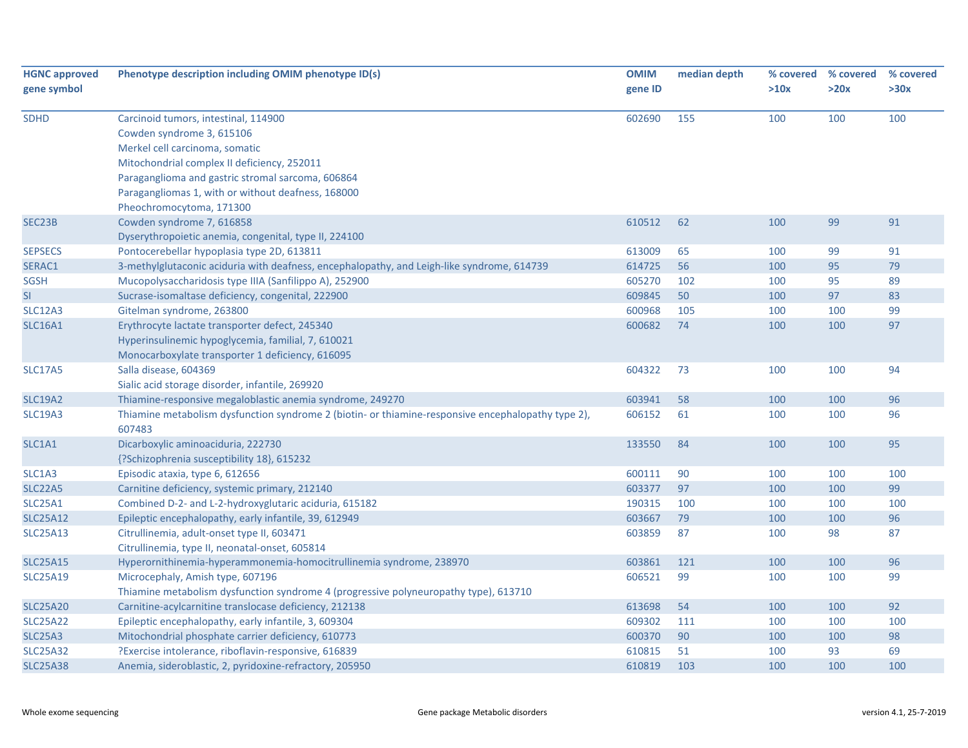| <b>HGNC approved</b><br>gene symbol | Phenotype description including OMIM phenotype ID(s)                                                         | <b>OMIM</b><br>gene ID | median depth | >10x | % covered % covered<br>>20x | % covered<br>>30x |
|-------------------------------------|--------------------------------------------------------------------------------------------------------------|------------------------|--------------|------|-----------------------------|-------------------|
| <b>SDHD</b>                         | Carcinoid tumors, intestinal, 114900<br>Cowden syndrome 3, 615106                                            | 602690                 | 155          | 100  | 100                         | 100               |
|                                     | Merkel cell carcinoma, somatic                                                                               |                        |              |      |                             |                   |
|                                     | Mitochondrial complex II deficiency, 252011                                                                  |                        |              |      |                             |                   |
|                                     | Paraganglioma and gastric stromal sarcoma, 606864                                                            |                        |              |      |                             |                   |
|                                     | Paragangliomas 1, with or without deafness, 168000                                                           |                        |              |      |                             |                   |
|                                     | Pheochromocytoma, 171300                                                                                     |                        |              |      |                             |                   |
| SEC23B                              | Cowden syndrome 7, 616858                                                                                    | 610512                 | 62           | 100  | 99                          | 91                |
|                                     | Dyserythropoietic anemia, congenital, type II, 224100                                                        |                        |              |      |                             |                   |
| <b>SEPSECS</b>                      | Pontocerebellar hypoplasia type 2D, 613811                                                                   | 613009                 | 65           | 100  | 99                          | 91                |
| SERAC1                              | 3-methylglutaconic aciduria with deafness, encephalopathy, and Leigh-like syndrome, 614739                   | 614725                 | 56           | 100  | 95                          | 79                |
| <b>SGSH</b>                         | Mucopolysaccharidosis type IIIA (Sanfilippo A), 252900                                                       | 605270                 | 102          | 100  | 95                          | 89                |
| SI                                  | Sucrase-isomaltase deficiency, congenital, 222900                                                            | 609845                 | 50           | 100  | 97                          | 83                |
| <b>SLC12A3</b>                      | Gitelman syndrome, 263800                                                                                    | 600968                 | 105          | 100  | 100                         | 99                |
| <b>SLC16A1</b>                      | Erythrocyte lactate transporter defect, 245340                                                               | 600682                 | 74           | 100  | 100                         | 97                |
|                                     | Hyperinsulinemic hypoglycemia, familial, 7, 610021                                                           |                        |              |      |                             |                   |
|                                     | Monocarboxylate transporter 1 deficiency, 616095                                                             |                        |              |      |                             |                   |
| <b>SLC17A5</b>                      | Salla disease, 604369                                                                                        | 604322                 | 73           | 100  | 100                         | 94                |
|                                     | Sialic acid storage disorder, infantile, 269920                                                              |                        |              |      |                             |                   |
| <b>SLC19A2</b>                      | Thiamine-responsive megaloblastic anemia syndrome, 249270                                                    | 603941                 | 58           | 100  | 100                         | 96                |
| <b>SLC19A3</b>                      | Thiamine metabolism dysfunction syndrome 2 (biotin- or thiamine-responsive encephalopathy type 2),<br>607483 | 606152                 | 61           | 100  | 100                         | 96                |
| SLC1A1                              | Dicarboxylic aminoaciduria, 222730                                                                           | 133550                 | 84           | 100  | 100                         | 95                |
|                                     | {?Schizophrenia susceptibility 18}, 615232                                                                   |                        |              |      |                             |                   |
| SLC1A3                              | Episodic ataxia, type 6, 612656                                                                              | 600111                 | 90           | 100  | 100                         | 100               |
| <b>SLC22A5</b>                      | Carnitine deficiency, systemic primary, 212140                                                               | 603377                 | 97           | 100  | 100                         | 99                |
| <b>SLC25A1</b>                      | Combined D-2- and L-2-hydroxyglutaric aciduria, 615182                                                       | 190315                 | 100          | 100  | 100                         | 100               |
| <b>SLC25A12</b>                     | Epileptic encephalopathy, early infantile, 39, 612949                                                        | 603667                 | 79           | 100  | 100                         | 96                |
| <b>SLC25A13</b>                     | Citrullinemia, adult-onset type II, 603471                                                                   | 603859                 | 87           | 100  | 98                          | 87                |
|                                     | Citrullinemia, type II, neonatal-onset, 605814                                                               |                        |              |      |                             |                   |
| <b>SLC25A15</b>                     | Hyperornithinemia-hyperammonemia-homocitrullinemia syndrome, 238970                                          | 603861                 | 121          | 100  | 100                         | 96                |
| <b>SLC25A19</b>                     | Microcephaly, Amish type, 607196                                                                             | 606521                 | 99           | 100  | 100                         | 99                |
|                                     | Thiamine metabolism dysfunction syndrome 4 (progressive polyneuropathy type), 613710                         |                        |              |      |                             |                   |
| <b>SLC25A20</b>                     | Carnitine-acylcarnitine translocase deficiency, 212138                                                       | 613698                 | 54           | 100  | 100                         | 92                |
| <b>SLC25A22</b>                     | Epileptic encephalopathy, early infantile, 3, 609304                                                         | 609302                 | 111          | 100  | 100                         | 100               |
| <b>SLC25A3</b>                      | Mitochondrial phosphate carrier deficiency, 610773                                                           | 600370                 | 90           | 100  | 100                         | 98                |
| <b>SLC25A32</b>                     | ?Exercise intolerance, riboflavin-responsive, 616839                                                         | 610815                 | 51           | 100  | 93                          | 69                |
| <b>SLC25A38</b>                     | Anemia, sideroblastic, 2, pyridoxine-refractory, 205950                                                      | 610819                 | 103          | 100  | 100                         | 100               |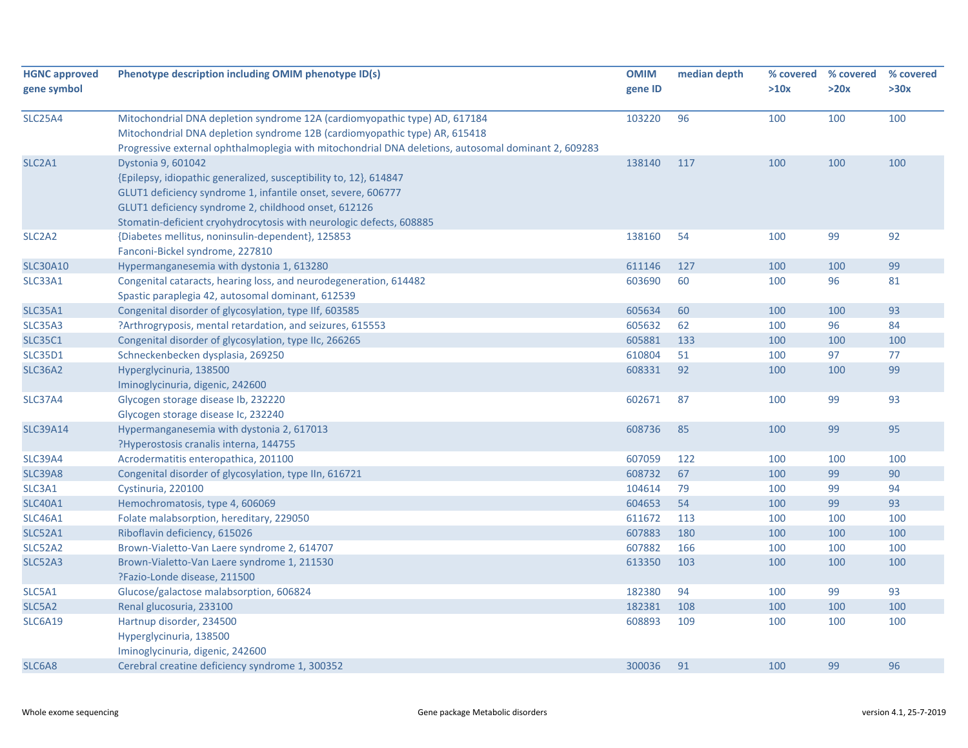| <b>HGNC approved</b><br>gene symbol | Phenotype description including OMIM phenotype ID(s)                                                                                                                                                                                                                                   | <b>OMIM</b><br>gene ID | median depth | % covered<br>>10x | % covered<br>>20x | % covered<br>>30x |
|-------------------------------------|----------------------------------------------------------------------------------------------------------------------------------------------------------------------------------------------------------------------------------------------------------------------------------------|------------------------|--------------|-------------------|-------------------|-------------------|
| <b>SLC25A4</b>                      | Mitochondrial DNA depletion syndrome 12A (cardiomyopathic type) AD, 617184<br>Mitochondrial DNA depletion syndrome 12B (cardiomyopathic type) AR, 615418<br>Progressive external ophthalmoplegia with mitochondrial DNA deletions, autosomal dominant 2, 609283                        | 103220                 | 96           | 100               | 100               | 100               |
| SLC <sub>2</sub> A <sub>1</sub>     | Dystonia 9, 601042<br>{Epilepsy, idiopathic generalized, susceptibility to, 12}, 614847<br>GLUT1 deficiency syndrome 1, infantile onset, severe, 606777<br>GLUT1 deficiency syndrome 2, childhood onset, 612126<br>Stomatin-deficient cryohydrocytosis with neurologic defects, 608885 | 138140                 | 117          | 100               | 100               | 100               |
| SLC <sub>2</sub> A <sub>2</sub>     | {Diabetes mellitus, noninsulin-dependent}, 125853<br>Fanconi-Bickel syndrome, 227810                                                                                                                                                                                                   | 138160                 | 54           | 100               | 99                | 92                |
| <b>SLC30A10</b>                     | Hypermanganesemia with dystonia 1, 613280                                                                                                                                                                                                                                              | 611146                 | 127          | 100               | 100               | 99                |
| SLC33A1                             | Congenital cataracts, hearing loss, and neurodegeneration, 614482<br>Spastic paraplegia 42, autosomal dominant, 612539                                                                                                                                                                 | 603690                 | 60           | 100               | 96                | 81                |
| <b>SLC35A1</b>                      | Congenital disorder of glycosylation, type IIf, 603585                                                                                                                                                                                                                                 | 605634                 | 60           | 100               | 100               | 93                |
| <b>SLC35A3</b>                      | ?Arthrogryposis, mental retardation, and seizures, 615553                                                                                                                                                                                                                              | 605632                 | 62           | 100               | 96                | 84                |
| <b>SLC35C1</b>                      | Congenital disorder of glycosylation, type IIc, 266265                                                                                                                                                                                                                                 | 605881                 | 133          | 100               | 100               | 100               |
| <b>SLC35D1</b>                      | Schneckenbecken dysplasia, 269250                                                                                                                                                                                                                                                      | 610804                 | 51           | 100               | 97                | 77                |
| <b>SLC36A2</b>                      | Hyperglycinuria, 138500<br>Iminoglycinuria, digenic, 242600                                                                                                                                                                                                                            | 608331                 | 92           | 100               | 100               | 99                |
| <b>SLC37A4</b>                      | Glycogen storage disease Ib, 232220<br>Glycogen storage disease Ic, 232240                                                                                                                                                                                                             | 602671                 | 87           | 100               | 99                | 93                |
| <b>SLC39A14</b>                     | Hypermanganesemia with dystonia 2, 617013<br>?Hyperostosis cranalis interna, 144755                                                                                                                                                                                                    | 608736                 | 85           | 100               | 99                | 95                |
| <b>SLC39A4</b>                      | Acrodermatitis enteropathica, 201100                                                                                                                                                                                                                                                   | 607059                 | 122          | 100               | 100               | 100               |
| <b>SLC39A8</b>                      | Congenital disorder of glycosylation, type IIn, 616721                                                                                                                                                                                                                                 | 608732                 | 67           | 100               | 99                | 90                |
| SLC3A1                              | Cystinuria, 220100                                                                                                                                                                                                                                                                     | 104614                 | 79           | 100               | 99                | 94                |
| <b>SLC40A1</b>                      | Hemochromatosis, type 4, 606069                                                                                                                                                                                                                                                        | 604653                 | 54           | 100               | 99                | 93                |
| <b>SLC46A1</b>                      | Folate malabsorption, hereditary, 229050                                                                                                                                                                                                                                               | 611672                 | 113          | 100               | 100               | 100               |
| <b>SLC52A1</b>                      | Riboflavin deficiency, 615026                                                                                                                                                                                                                                                          | 607883                 | 180          | 100               | 100               | 100               |
| SLC52A2                             | Brown-Vialetto-Van Laere syndrome 2, 614707                                                                                                                                                                                                                                            | 607882                 | 166          | 100               | 100               | 100               |
| <b>SLC52A3</b>                      | Brown-Vialetto-Van Laere syndrome 1, 211530<br>?Fazio-Londe disease, 211500                                                                                                                                                                                                            | 613350                 | 103          | 100               | 100               | 100               |
| SLC5A1                              | Glucose/galactose malabsorption, 606824                                                                                                                                                                                                                                                | 182380                 | 94           | 100               | 99                | 93                |
| SLC5A2                              | Renal glucosuria, 233100                                                                                                                                                                                                                                                               | 182381                 | 108          | 100               | 100               | 100               |
| <b>SLC6A19</b>                      | Hartnup disorder, 234500<br>Hyperglycinuria, 138500                                                                                                                                                                                                                                    | 608893                 | 109          | 100               | 100               | 100               |
|                                     | Iminoglycinuria, digenic, 242600                                                                                                                                                                                                                                                       |                        |              |                   |                   |                   |
| SLC6A8                              | Cerebral creatine deficiency syndrome 1, 300352                                                                                                                                                                                                                                        | 300036                 | 91           | 100               | 99                | 96                |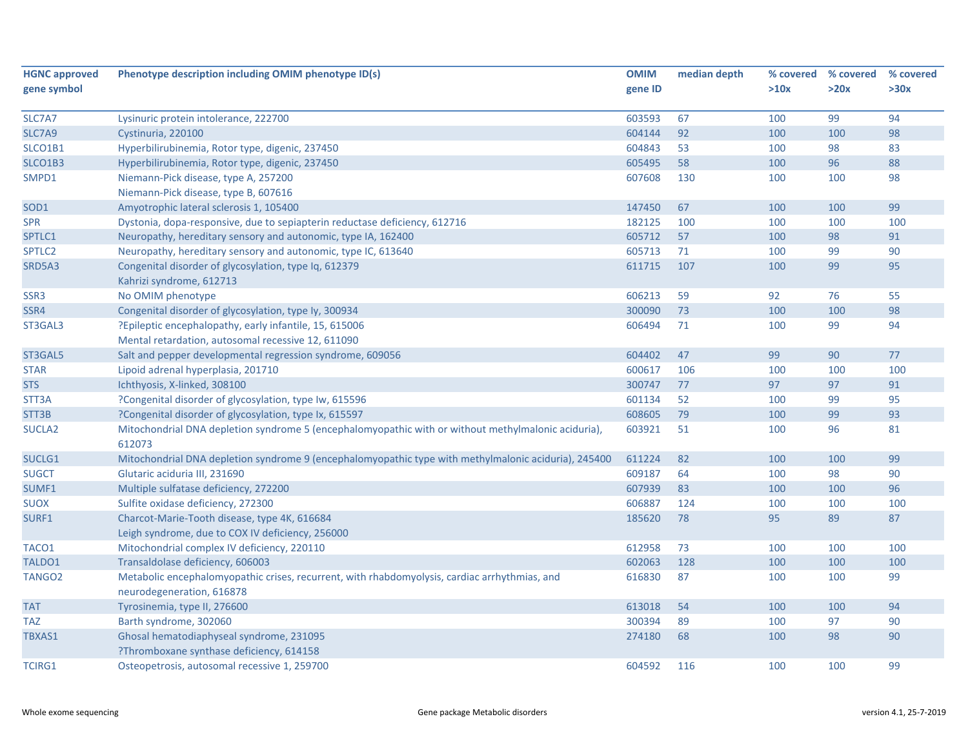| <b>HGNC approved</b> | Phenotype description including OMIM phenotype ID(s)                                                 | <b>OMIM</b> | median depth | % covered | % covered | % covered |
|----------------------|------------------------------------------------------------------------------------------------------|-------------|--------------|-----------|-----------|-----------|
| gene symbol          |                                                                                                      | gene ID     |              | >10x      | >20x      | >30x      |
|                      |                                                                                                      |             |              |           |           |           |
| SLC7A7               | Lysinuric protein intolerance, 222700                                                                | 603593      | 67           | 100       | 99        | 94        |
| SLC7A9               | Cystinuria, 220100                                                                                   | 604144      | 92           | 100       | 100       | 98        |
| SLCO1B1              | Hyperbilirubinemia, Rotor type, digenic, 237450                                                      | 604843      | 53           | 100       | 98        | 83        |
| SLCO1B3              | Hyperbilirubinemia, Rotor type, digenic, 237450                                                      | 605495      | 58           | 100       | 96        | 88        |
| SMPD1                | Niemann-Pick disease, type A, 257200                                                                 | 607608      | 130          | 100       | 100       | 98        |
|                      | Niemann-Pick disease, type B, 607616                                                                 |             |              |           |           |           |
| SOD <sub>1</sub>     | Amyotrophic lateral sclerosis 1, 105400                                                              | 147450      | 67           | 100       | 100       | 99        |
| <b>SPR</b>           | Dystonia, dopa-responsive, due to sepiapterin reductase deficiency, 612716                           | 182125      | 100          | 100       | 100       | 100       |
| SPTLC1               | Neuropathy, hereditary sensory and autonomic, type IA, 162400                                        | 605712      | 57           | 100       | 98        | 91        |
| SPTLC2               | Neuropathy, hereditary sensory and autonomic, type IC, 613640                                        | 605713      | 71           | 100       | 99        | 90        |
| SRD5A3               | Congenital disorder of glycosylation, type Iq, 612379                                                | 611715      | 107          | 100       | 99        | 95        |
|                      | Kahrizi syndrome, 612713                                                                             |             |              |           |           |           |
| SSR <sub>3</sub>     | No OMIM phenotype                                                                                    | 606213      | 59           | 92        | 76        | 55        |
| SSR4                 | Congenital disorder of glycosylation, type ly, 300934                                                | 300090      | 73           | 100       | 100       | 98        |
| ST3GAL3              | ?Epileptic encephalopathy, early infantile, 15, 615006                                               | 606494      | 71           | 100       | 99        | 94        |
|                      | Mental retardation, autosomal recessive 12, 611090                                                   |             |              |           |           |           |
| ST3GAL5              | Salt and pepper developmental regression syndrome, 609056                                            | 604402      | 47           | 99        | 90        | 77        |
| <b>STAR</b>          | Lipoid adrenal hyperplasia, 201710                                                                   | 600617      | 106          | 100       | 100       | 100       |
| <b>STS</b>           | Ichthyosis, X-linked, 308100                                                                         | 300747      | 77           | 97        | 97        | 91        |
| STT3A                | ?Congenital disorder of glycosylation, type Iw, 615596                                               | 601134      | 52           | 100       | 99        | 95        |
| STT3B                | ?Congenital disorder of glycosylation, type Ix, 615597                                               | 608605      | 79           | 100       | 99        | 93        |
| SUCLA <sub>2</sub>   | Mitochondrial DNA depletion syndrome 5 (encephalomyopathic with or without methylmalonic aciduria),  | 603921      | 51           | 100       | 96        | 81        |
|                      | 612073                                                                                               |             |              |           |           |           |
| SUCLG1               | Mitochondrial DNA depletion syndrome 9 (encephalomyopathic type with methylmalonic aciduria), 245400 | 611224      | 82           | 100       | 100       | 99        |
| <b>SUGCT</b>         | Glutaric aciduria III, 231690                                                                        | 609187      | 64           | 100       | 98        | 90        |
| SUMF1                | Multiple sulfatase deficiency, 272200                                                                | 607939      | 83           | 100       | 100       | 96        |
| <b>SUOX</b>          | Sulfite oxidase deficiency, 272300                                                                   | 606887      | 124          | 100       | 100       | 100       |
| SURF1                | Charcot-Marie-Tooth disease, type 4K, 616684                                                         | 185620      | 78           | 95        | 89        | 87        |
|                      | Leigh syndrome, due to COX IV deficiency, 256000                                                     |             |              |           |           |           |
| TACO1                | Mitochondrial complex IV deficiency, 220110                                                          | 612958      | 73           | 100       | 100       | 100       |
| TALDO1               | Transaldolase deficiency, 606003                                                                     | 602063      | 128          | 100       | 100       | 100       |
| TANGO <sub>2</sub>   | Metabolic encephalomyopathic crises, recurrent, with rhabdomyolysis, cardiac arrhythmias, and        | 616830      | 87           | 100       | 100       | 99        |
|                      | neurodegeneration, 616878                                                                            |             |              |           |           |           |
| <b>TAT</b>           | Tyrosinemia, type II, 276600                                                                         | 613018      | 54           | 100       | 100       | 94        |
| <b>TAZ</b>           | Barth syndrome, 302060                                                                               | 300394      | 89           | 100       | 97        | 90        |
| TBXAS1               | Ghosal hematodiaphyseal syndrome, 231095                                                             | 274180      | 68           | 100       | 98        | 90        |
|                      | ?Thromboxane synthase deficiency, 614158                                                             |             |              |           |           |           |
| <b>TCIRG1</b>        | Osteopetrosis, autosomal recessive 1, 259700                                                         | 604592      | 116          | 100       | 100       | 99        |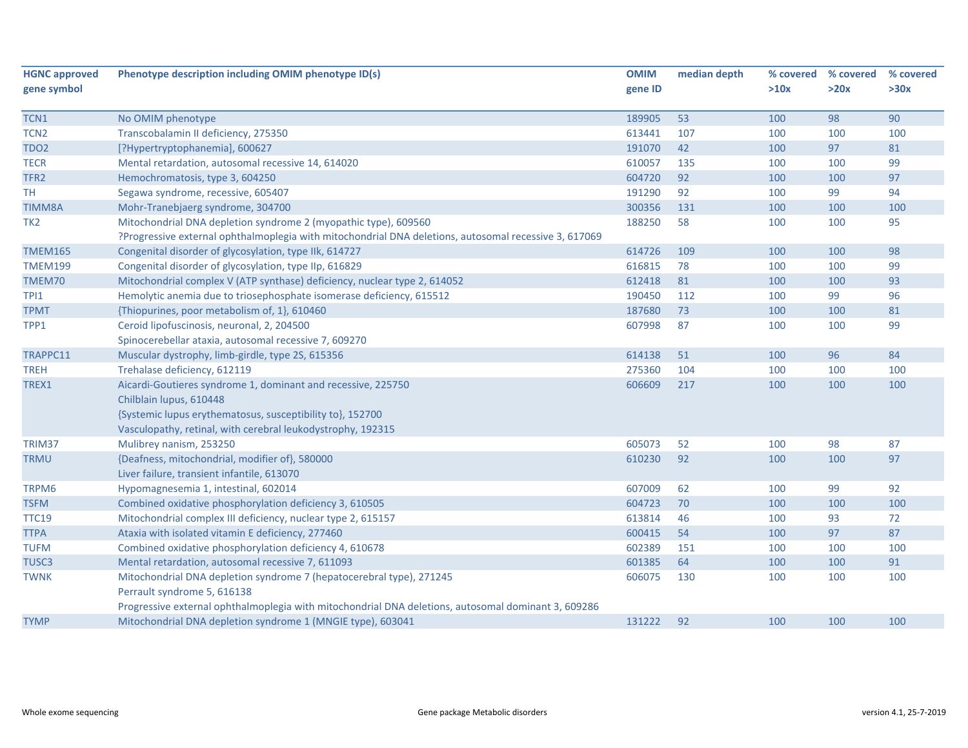| <b>HGNC approved</b> | Phenotype description including OMIM phenotype ID(s)                                                  | <b>OMIM</b> | median depth | % covered | % covered | % covered |
|----------------------|-------------------------------------------------------------------------------------------------------|-------------|--------------|-----------|-----------|-----------|
| gene symbol          |                                                                                                       | gene ID     |              | >10x      | >20x      | >30x      |
|                      |                                                                                                       |             |              |           |           |           |
| TCN1                 | No OMIM phenotype                                                                                     | 189905      | 53           | 100       | 98        | 90        |
| TCN2                 | Transcobalamin II deficiency, 275350                                                                  | 613441      | 107          | 100       | 100       | 100       |
| <b>TDO2</b>          | [?Hypertryptophanemia], 600627                                                                        | 191070      | 42           | 100       | 97        | 81        |
| <b>TECR</b>          | Mental retardation, autosomal recessive 14, 614020                                                    | 610057      | 135          | 100       | 100       | 99        |
| TFR <sub>2</sub>     | Hemochromatosis, type 3, 604250                                                                       | 604720      | 92           | 100       | 100       | 97        |
| <b>TH</b>            | Segawa syndrome, recessive, 605407                                                                    | 191290      | 92           | 100       | 99        | 94        |
| <b>TIMM8A</b>        | Mohr-Tranebjaerg syndrome, 304700                                                                     | 300356      | 131          | 100       | 100       | 100       |
| TK <sub>2</sub>      | Mitochondrial DNA depletion syndrome 2 (myopathic type), 609560                                       | 188250      | 58           | 100       | 100       | 95        |
|                      | ?Progressive external ophthalmoplegia with mitochondrial DNA deletions, autosomal recessive 3, 617069 |             |              |           |           |           |
| <b>TMEM165</b>       | Congenital disorder of glycosylation, type IIk, 614727                                                | 614726      | 109          | 100       | 100       | 98        |
| <b>TMEM199</b>       | Congenital disorder of glycosylation, type IIp, 616829                                                | 616815      | 78           | 100       | 100       | 99        |
| TMEM70               | Mitochondrial complex V (ATP synthase) deficiency, nuclear type 2, 614052                             | 612418      | 81           | 100       | 100       | 93        |
| TPI1                 | Hemolytic anemia due to triosephosphate isomerase deficiency, 615512                                  | 190450      | 112          | 100       | 99        | 96        |
| <b>TPMT</b>          | {Thiopurines, poor metabolism of, 1}, 610460                                                          | 187680      | 73           | 100       | 100       | 81        |
| TPP1                 | Ceroid lipofuscinosis, neuronal, 2, 204500                                                            | 607998      | 87           | 100       | 100       | 99        |
|                      | Spinocerebellar ataxia, autosomal recessive 7, 609270                                                 |             |              |           |           |           |
| TRAPPC11             | Muscular dystrophy, limb-girdle, type 2S, 615356                                                      | 614138      | 51           | 100       | 96        | 84        |
| <b>TREH</b>          | Trehalase deficiency, 612119                                                                          | 275360      | 104          | 100       | 100       | 100       |
| TREX1                | Aicardi-Goutieres syndrome 1, dominant and recessive, 225750                                          | 606609      | 217          | 100       | 100       | 100       |
|                      | Chilblain lupus, 610448                                                                               |             |              |           |           |           |
|                      | {Systemic lupus erythematosus, susceptibility to}, 152700                                             |             |              |           |           |           |
|                      | Vasculopathy, retinal, with cerebral leukodystrophy, 192315                                           |             |              |           |           |           |
| TRIM37               | Mulibrey nanism, 253250                                                                               | 605073      | 52           | 100       | 98        | 87        |
| <b>TRMU</b>          | {Deafness, mitochondrial, modifier of}, 580000                                                        | 610230      | 92           | 100       | 100       | 97        |
|                      | Liver failure, transient infantile, 613070                                                            |             |              |           |           |           |
| TRPM6                | Hypomagnesemia 1, intestinal, 602014                                                                  | 607009      | 62           | 100       | 99        | 92        |
| <b>TSFM</b>          | Combined oxidative phosphorylation deficiency 3, 610505                                               | 604723      | 70           | 100       | 100       | 100       |
| <b>TTC19</b>         | Mitochondrial complex III deficiency, nuclear type 2, 615157                                          | 613814      | 46           | 100       | 93        | 72        |
| <b>TTPA</b>          | Ataxia with isolated vitamin E deficiency, 277460                                                     | 600415      | 54           | 100       | 97        | 87        |
| <b>TUFM</b>          | Combined oxidative phosphorylation deficiency 4, 610678                                               | 602389      | 151          | 100       | 100       | 100       |
| TUSC3                | Mental retardation, autosomal recessive 7, 611093                                                     | 601385      | 64           | 100       | 100       | 91        |
| <b>TWNK</b>          | Mitochondrial DNA depletion syndrome 7 (hepatocerebral type), 271245                                  | 606075      | 130          | 100       | 100       | 100       |
|                      | Perrault syndrome 5, 616138                                                                           |             |              |           |           |           |
|                      | Progressive external ophthalmoplegia with mitochondrial DNA deletions, autosomal dominant 3, 609286   |             |              |           |           |           |
| <b>TYMP</b>          | Mitochondrial DNA depletion syndrome 1 (MNGIE type), 603041                                           | 131222      | 92           | 100       | 100       | 100       |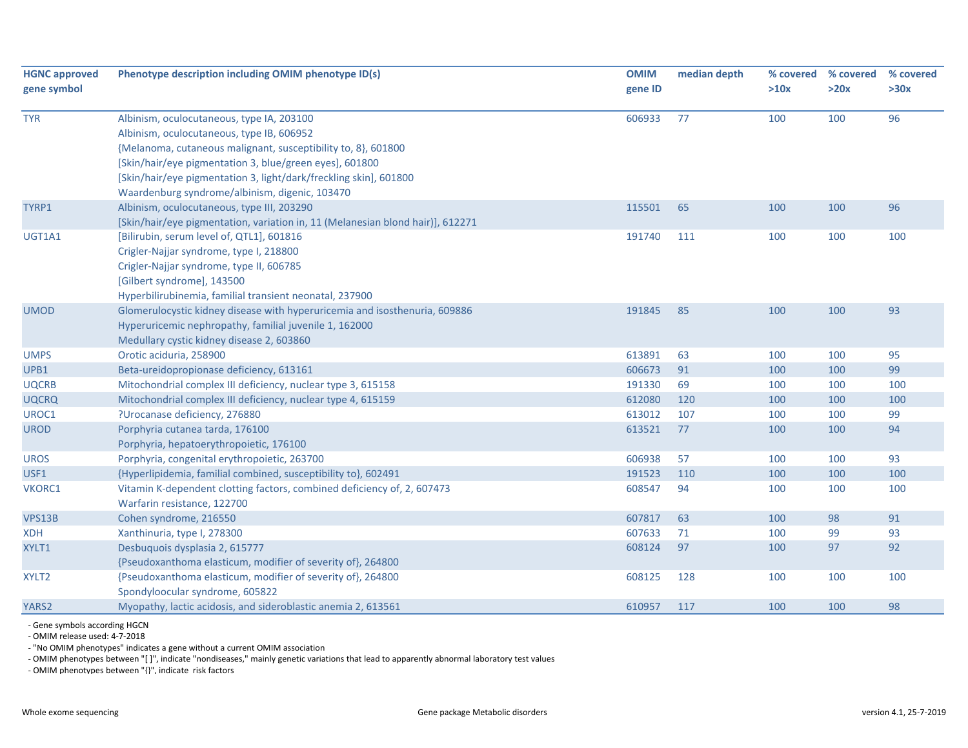| <b>HGNC approved</b><br>gene symbol | Phenotype description including OMIM phenotype ID(s)                                                                                                                                                                      | <b>OMIM</b><br>gene ID | median depth | % covered<br>>10x | % covered<br>>20x | % covered<br>>30x |
|-------------------------------------|---------------------------------------------------------------------------------------------------------------------------------------------------------------------------------------------------------------------------|------------------------|--------------|-------------------|-------------------|-------------------|
| <b>TYR</b>                          | Albinism, oculocutaneous, type IA, 203100<br>Albinism, oculocutaneous, type IB, 606952<br>{Melanoma, cutaneous malignant, susceptibility to, 8}, 601800<br>[Skin/hair/eye pigmentation 3, blue/green eyes], 601800        | 606933                 | 77           | 100               | 100               | 96                |
|                                     | [Skin/hair/eye pigmentation 3, light/dark/freckling skin], 601800<br>Waardenburg syndrome/albinism, digenic, 103470                                                                                                       |                        |              |                   |                   |                   |
| TYRP1                               | Albinism, oculocutaneous, type III, 203290<br>[Skin/hair/eye pigmentation, variation in, 11 (Melanesian blond hair)], 612271                                                                                              | 115501                 | 65           | 100               | 100               | 96                |
| UGT1A1                              | [Bilirubin, serum level of, QTL1], 601816<br>Crigler-Najjar syndrome, type I, 218800<br>Crigler-Najjar syndrome, type II, 606785<br>[Gilbert syndrome], 143500<br>Hyperbilirubinemia, familial transient neonatal, 237900 | 191740                 | 111          | 100               | 100               | 100               |
| <b>UMOD</b>                         | Glomerulocystic kidney disease with hyperuricemia and isosthenuria, 609886<br>Hyperuricemic nephropathy, familial juvenile 1, 162000<br>Medullary cystic kidney disease 2, 603860                                         | 191845                 | 85           | 100               | 100               | 93                |
| <b>UMPS</b>                         | Orotic aciduria, 258900                                                                                                                                                                                                   | 613891                 | 63           | 100               | 100               | 95                |
| UPB1                                | Beta-ureidopropionase deficiency, 613161                                                                                                                                                                                  | 606673                 | 91           | 100               | 100               | 99                |
| <b>UQCRB</b>                        | Mitochondrial complex III deficiency, nuclear type 3, 615158                                                                                                                                                              | 191330                 | 69           | 100               | 100               | 100               |
| <b>UQCRQ</b>                        | Mitochondrial complex III deficiency, nuclear type 4, 615159                                                                                                                                                              | 612080                 | 120          | 100               | 100               | 100               |
| UROC1                               | ?Urocanase deficiency, 276880                                                                                                                                                                                             | 613012                 | 107          | 100               | 100               | 99                |
| <b>UROD</b>                         | Porphyria cutanea tarda, 176100<br>Porphyria, hepatoerythropoietic, 176100                                                                                                                                                | 613521                 | 77           | 100               | 100               | 94                |
| <b>UROS</b>                         | Porphyria, congenital erythropoietic, 263700                                                                                                                                                                              | 606938                 | 57           | 100               | 100               | 93                |
| USF1                                | {Hyperlipidemia, familial combined, susceptibility to}, 602491                                                                                                                                                            | 191523                 | 110          | 100               | 100               | 100               |
| VKORC1                              | Vitamin K-dependent clotting factors, combined deficiency of, 2, 607473<br>Warfarin resistance, 122700                                                                                                                    | 608547                 | 94           | 100               | 100               | 100               |
| <b>VPS13B</b>                       | Cohen syndrome, 216550                                                                                                                                                                                                    | 607817                 | 63           | 100               | 98                | 91                |
| <b>XDH</b>                          | Xanthinuria, type I, 278300                                                                                                                                                                                               | 607633                 | 71           | 100               | 99                | 93                |
| XYLT1                               | Desbuquois dysplasia 2, 615777<br>{Pseudoxanthoma elasticum, modifier of severity of}, 264800                                                                                                                             | 608124                 | 97           | 100               | 97                | 92                |
| XYLT <sub>2</sub>                   | {Pseudoxanthoma elasticum, modifier of severity of}, 264800<br>Spondyloocular syndrome, 605822                                                                                                                            | 608125                 | 128          | 100               | 100               | 100               |
| YARS2                               | Myopathy, lactic acidosis, and sideroblastic anemia 2, 613561                                                                                                                                                             | 610957                 | 117          | 100               | 100               | 98                |

‐ Gene symbols according HGCN

‐ OMIM release used: 4‐7‐2018

‐ "No OMIM phenotypes" indicates <sup>a</sup> gene without <sup>a</sup> current OMIM association

‐ OMIM phenotypes between "[ ]", indicate "nondiseases," mainly genetic variations that lead to apparently abnormal laboratory test values

‐ OMIM phenotypes between "{}", indicate risk factors